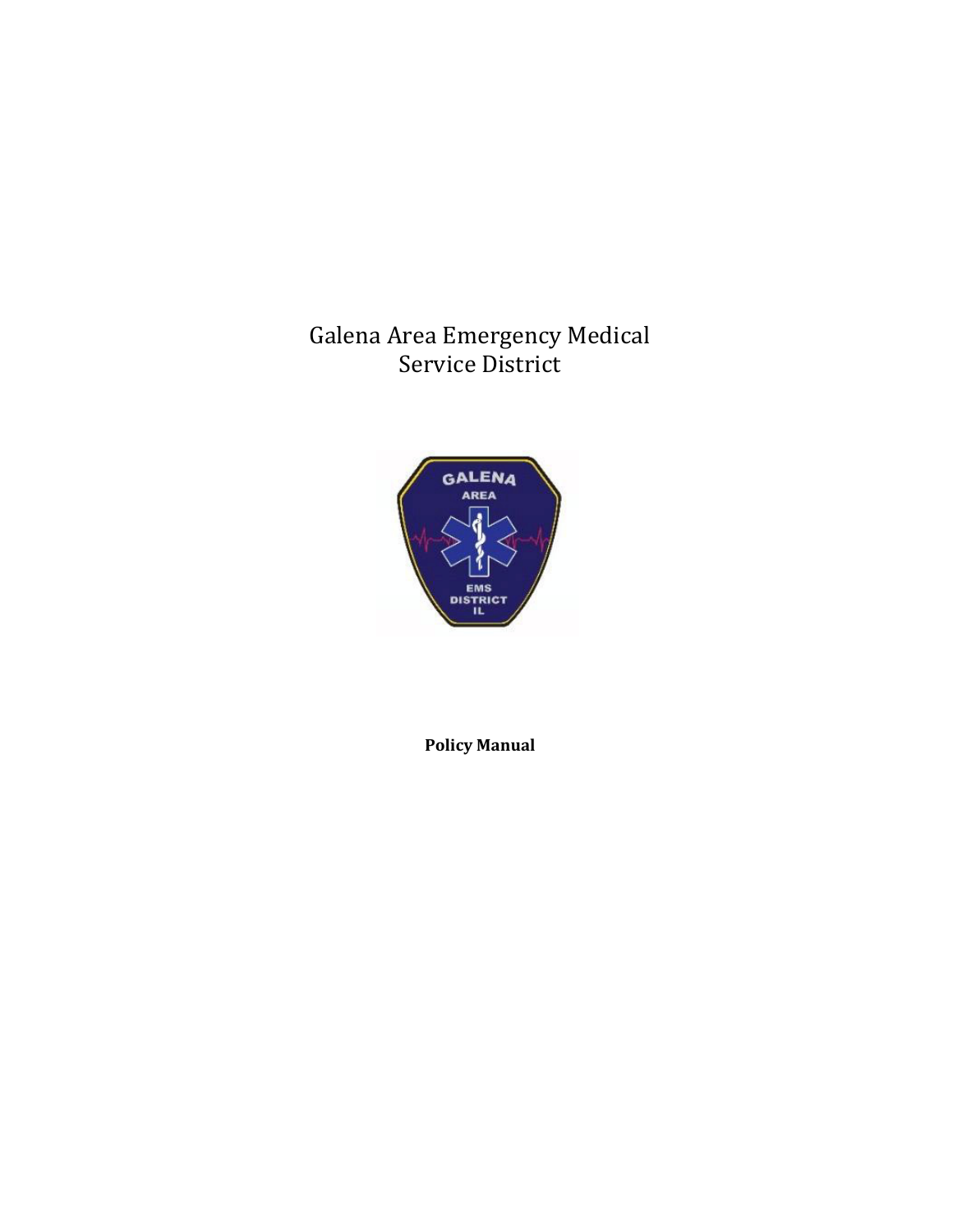Galena Area Emergency Medical Service District



**Policy Manual**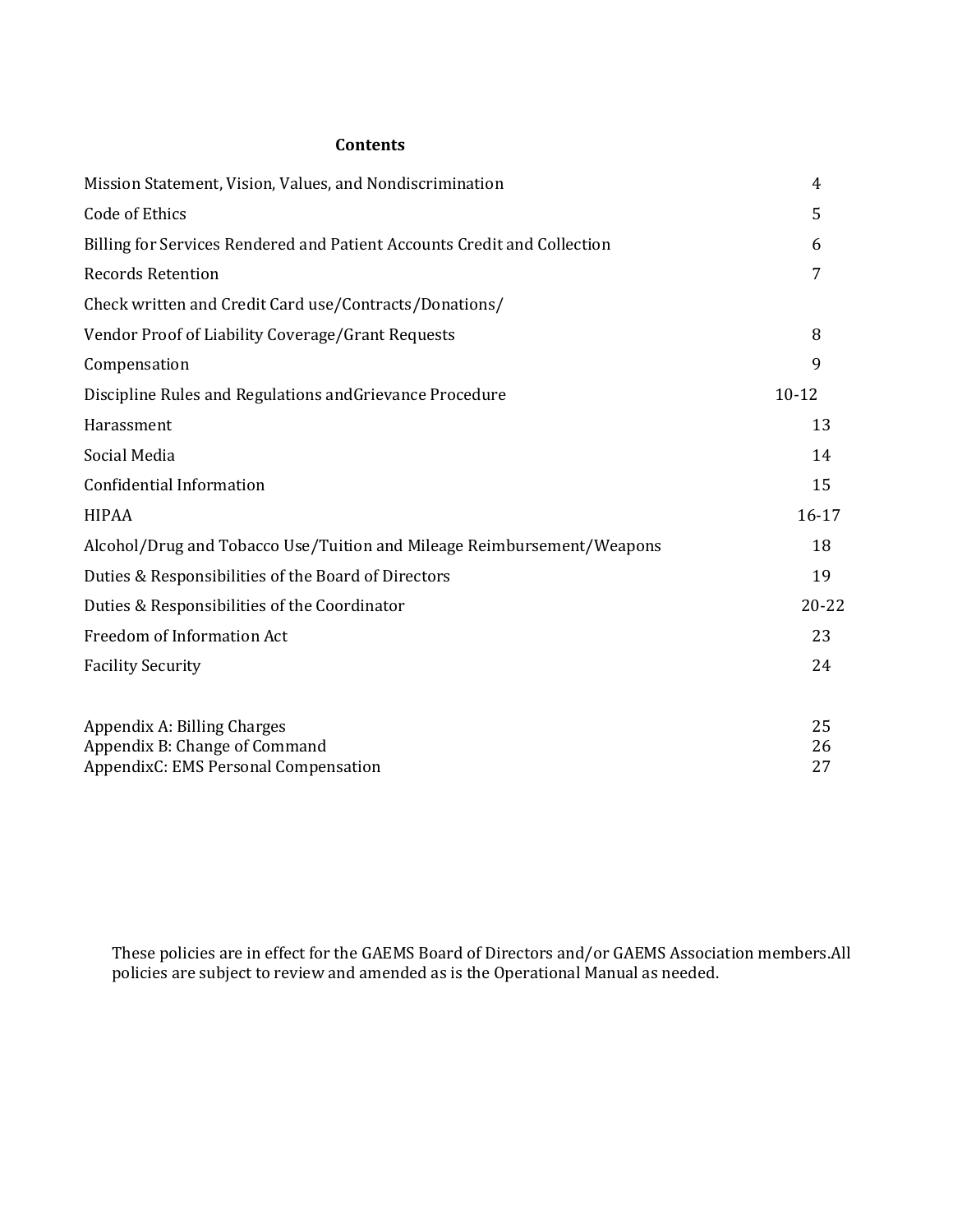# **Contents**

| Mission Statement, Vision, Values, and Nondiscrimination                 | 4         |
|--------------------------------------------------------------------------|-----------|
| <b>Code of Ethics</b>                                                    | 5         |
| Billing for Services Rendered and Patient Accounts Credit and Collection | 6         |
| <b>Records Retention</b>                                                 | 7         |
| Check written and Credit Card use/Contracts/Donations/                   |           |
| Vendor Proof of Liability Coverage/Grant Requests                        | 8         |
| Compensation                                                             | 9         |
| Discipline Rules and Regulations and Grievance Procedure                 | $10 - 12$ |
| Harassment                                                               | 13        |
| Social Media                                                             | 14        |
| Confidential Information                                                 | 15        |
| <b>HIPAA</b>                                                             | $16 - 17$ |
| Alcohol/Drug and Tobacco Use/Tuition and Mileage Reimbursement/Weapons   | 18        |
| Duties & Responsibilities of the Board of Directors                      | 19        |
| Duties & Responsibilities of the Coordinator                             | $20 - 22$ |
| Freedom of Information Act                                               | 23        |
| <b>Facility Security</b>                                                 | 24        |
| Appendix A: Billing Charges                                              | 25        |
| Appendix B: Change of Command                                            | 26        |
| AppendixC: EMS Personal Compensation                                     | 27        |

These policies are in effect for the GAEMS Board of Directors and/or GAEMS Association members.All policies are subject to review and amended as is the Operational Manual as needed.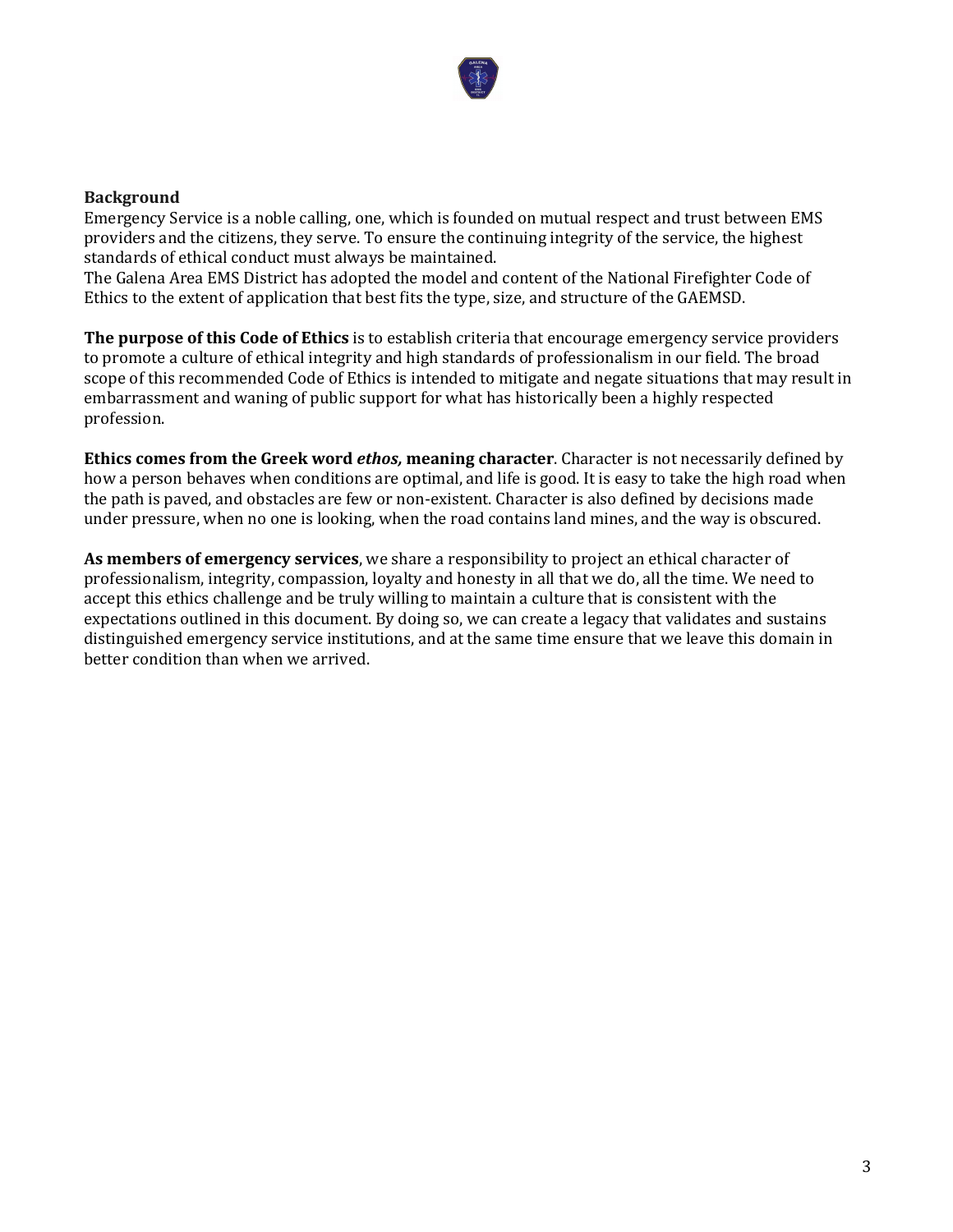

### **Background**

Emergency Service is a noble calling, one, which is founded on mutual respect and trust between EMS providers and the citizens, they serve. To ensure the continuing integrity of the service, the highest standards of ethical conduct must always be maintained.

The Galena Area EMS District has adopted the model and content of the National Firefighter Code of Ethics to the extent of application that best fits the type, size, and structure of the GAEMSD.

**The purpose of this Code of Ethics** is to establish criteria that encourage emergency service providers to promote a culture of ethical integrity and high standards of professionalism in our field. The broad scope of this recommended Code of Ethics is intended to mitigate and negate situations that may result in embarrassment and waning of public support for what has historically been a highly respected profession.

**Ethics comes from the Greek word** *ethos,* **meaning character**. Character is not necessarily defined by how a person behaves when conditions are optimal, and life is good. It is easy to take the high road when the path is paved, and obstacles are few or non-existent. Character is also defined by decisions made under pressure, when no one is looking, when the road contains land mines, and the way is obscured.

**As members of emergency services**, we share a responsibility to project an ethical character of professionalism, integrity, compassion, loyalty and honesty in all that we do, all the time. We need to accept this ethics challenge and be truly willing to maintain a culture that is consistent with the expectations outlined in this document. By doing so, we can create a legacy that validates and sustains distinguished emergency service institutions, and at the same time ensure that we leave this domain in better condition than when we arrived.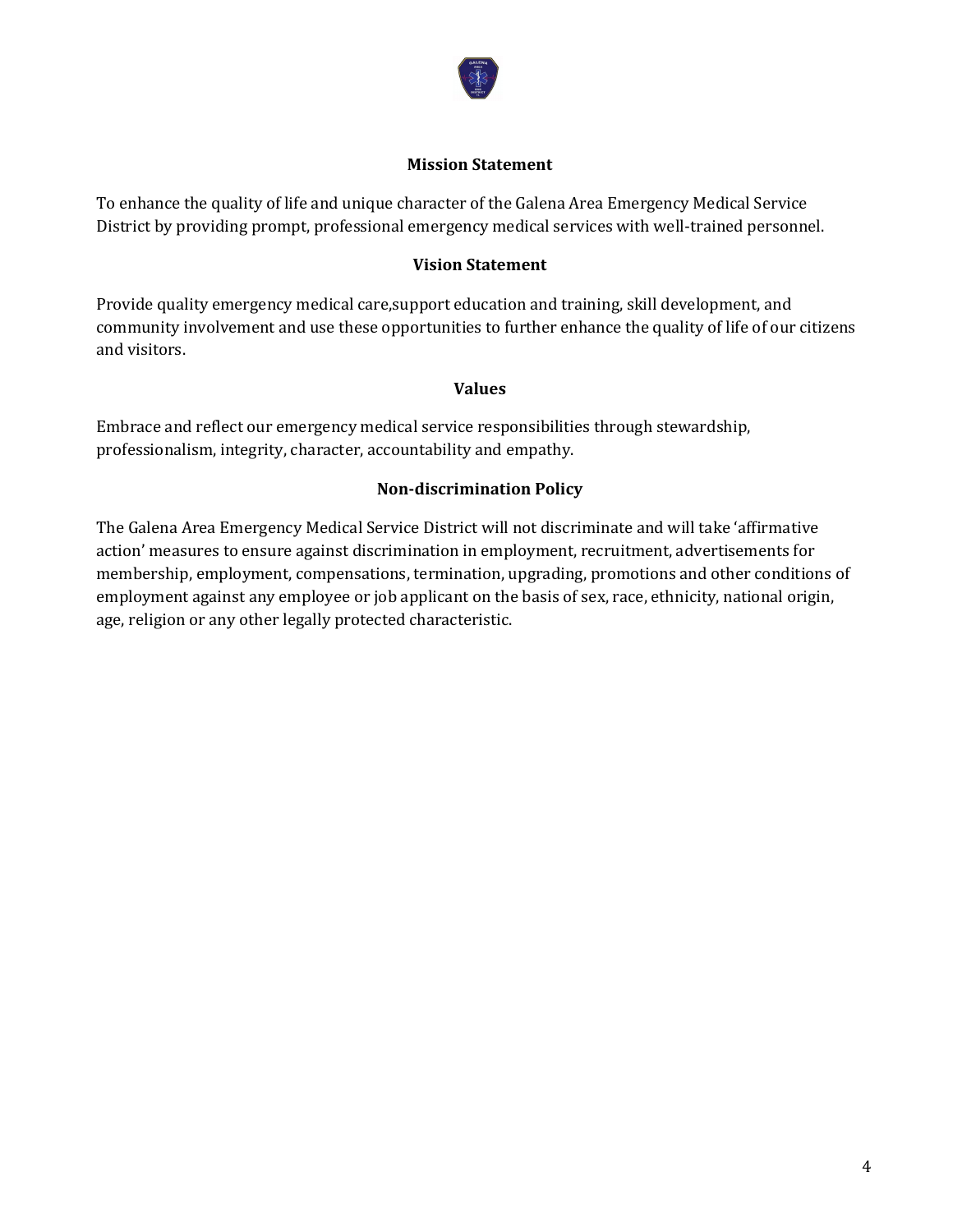

#### **Mission Statement**

To enhance the quality of life and unique character of the Galena Area Emergency Medical Service District by providing prompt, professional emergency medical services with well-trained personnel.

# **Vision Statement**

Provide quality emergency medical care,support education and training, skill development, and community involvement and use these opportunities to further enhance the quality of life of our citizens and visitors.

## **Values**

Embrace and reflect our emergency medical service responsibilities through stewardship, professionalism, integrity, character, accountability and empathy.

# **Non-discrimination Policy**

The Galena Area Emergency Medical Service District will not discriminate and will take 'affirmative action' measures to ensure against discrimination in employment, recruitment, advertisements for membership, employment, compensations, termination, upgrading, promotions and other conditions of employment against any employee or job applicant on the basis of sex, race, ethnicity, national origin, age, religion or any other legally protected characteristic.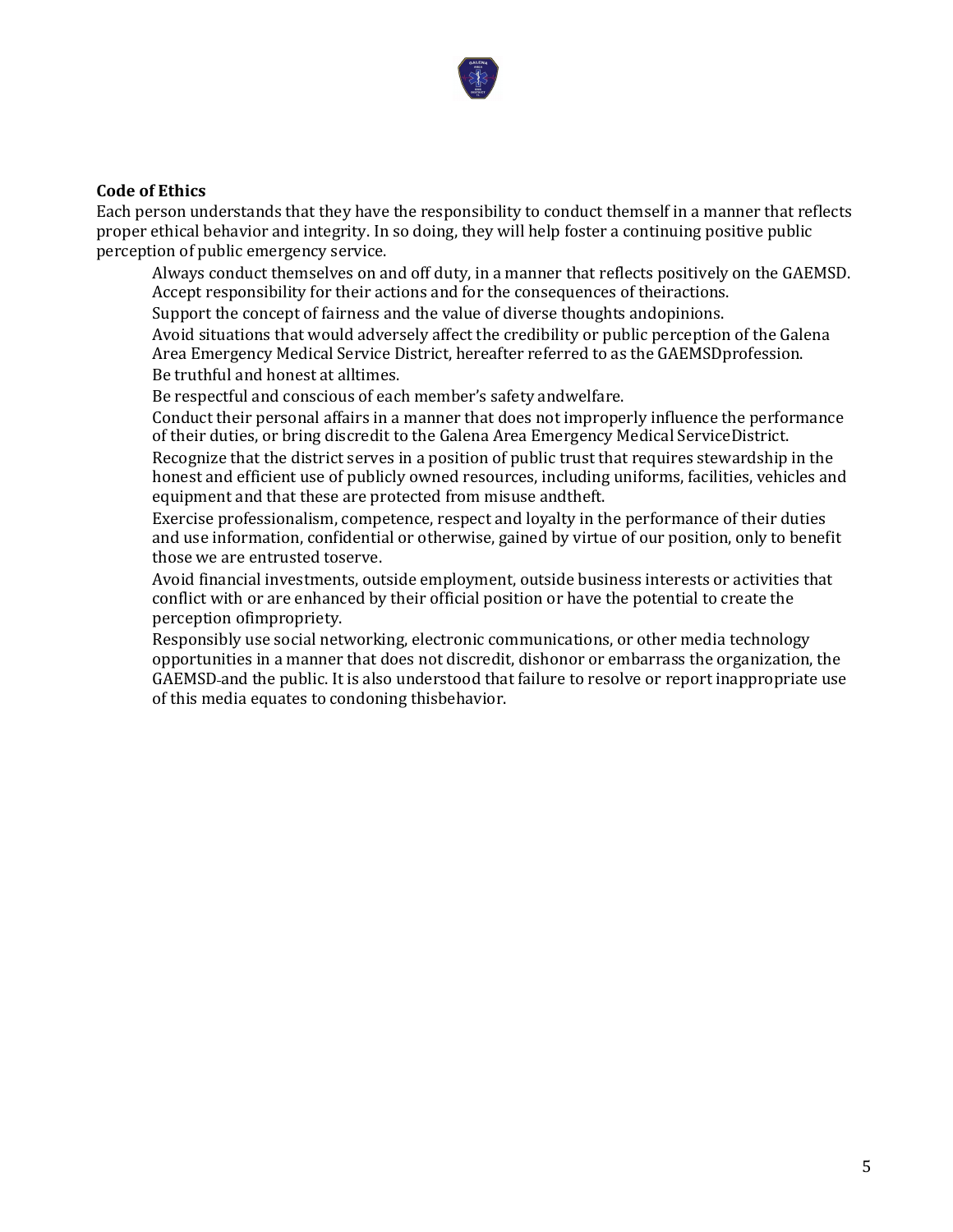

#### **Code of Ethics**

Each person understands that they have the responsibility to conduct themself in a manner that reflects proper ethical behavior and integrity. In so doing, they will help foster a continuing positive public perception of public emergency service.

Always conduct themselves on and off duty, in a manner that reflects positively on the GAEMSD. Accept responsibility for their actions and for the consequences of theiractions.

Support the concept of fairness and the value of diverse thoughts andopinions.

Avoid situations that would adversely affect the credibility or public perception of the Galena Area Emergency Medical Service District, hereafter referred to as the GAEMSDprofession. Be truthful and honest at alltimes.

Be respectful and conscious of each member's safety andwelfare.

Conduct their personal affairs in a manner that does not improperly influence the performance of their duties, or bring discredit to the Galena Area Emergency Medical ServiceDistrict. Recognize that the district serves in a position of public trust that requires stewardship in the honest and efficient use of publicly owned resources, including uniforms, facilities, vehicles and equipment and that these are protected from misuse andtheft.

Exercise professionalism, competence, respect and loyalty in the performance of their duties and use information, confidential or otherwise, gained by virtue of our position, only to benefit those we are entrusted toserve.

Avoid financial investments, outside employment, outside business interests or activities that conflict with or are enhanced by their official position or have the potential to create the perception ofimpropriety.

Responsibly use social networking, electronic communications, or other media technology opportunities in a manner that does not discredit, dishonor or embarrass the organization, the GAEMSD and the public. It is also understood that failure to resolve or report inappropriate use of this media equates to condoning thisbehavior.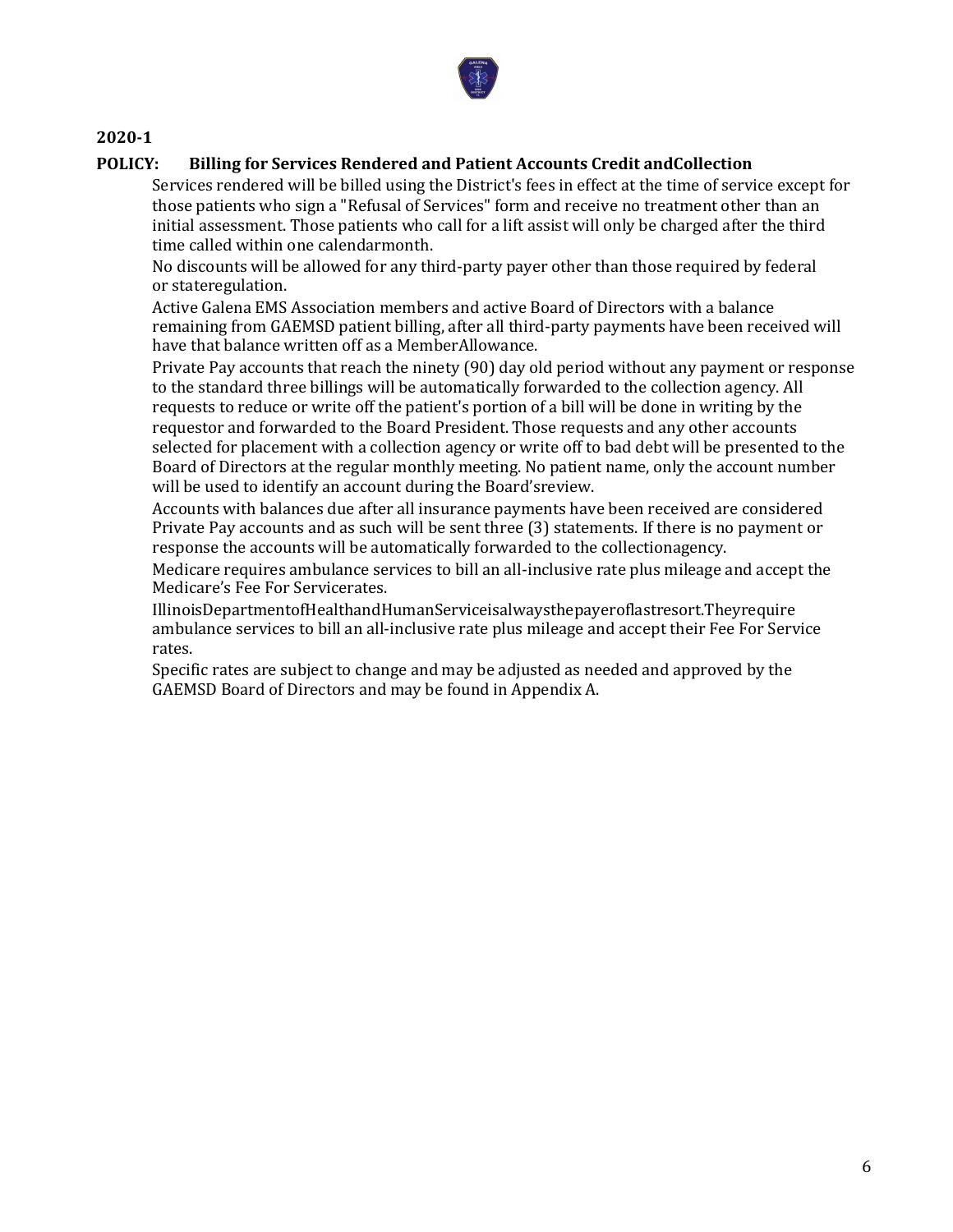

### **POLICY: Billing for Services Rendered and Patient Accounts Credit andCollection**

Services rendered will be billed using the District's fees in effect at the time of service except for those patients who sign a "Refusal of Services" form and receive no treatment other than an initial assessment. Those patients who call for a lift assist will only be charged after the third time called within one calendarmonth.

No discounts will be allowed for any third-party payer other than those required by federal or stateregulation.

Active Galena EMS Association members and active Board of Directors with a balance remaining from GAEMSD patient billing, after all third-party payments have been received will have that balance written off as a MemberAllowance.

Private Pay accounts that reach the ninety (90) day old period without any payment or response to the standard three billings will be automatically forwarded to the collection agency. All requests to reduce or write off the patient's portion of a bill will be done in writing by the requestor and forwarded to the Board President. Those requests and any other accounts selected for placement with a collection agency or write off to bad debt will be presented to the Board of Directors at the regular monthly meeting. No patient name, only the account number will be used to identify an account during the Board'sreview.

Accounts with balances due after all insurance payments have been received are considered Private Pay accounts and as such will be sent three (3) statements. If there is no payment or response the accounts will be automatically forwarded to the collectionagency.

Medicare requires ambulance services to bill an all-inclusive rate plus mileage and accept the Medicare's Fee For Servicerates.

IllinoisDepartmentofHealthandHumanServiceisalwaysthepayeroflastresort.Theyrequire ambulance services to bill an all-inclusive rate plus mileage and accept their Fee For Service rates.

Specific rates are subject to change and may be adjusted as needed and approved by the GAEMSD Board of Directors and may be found in Appendix A.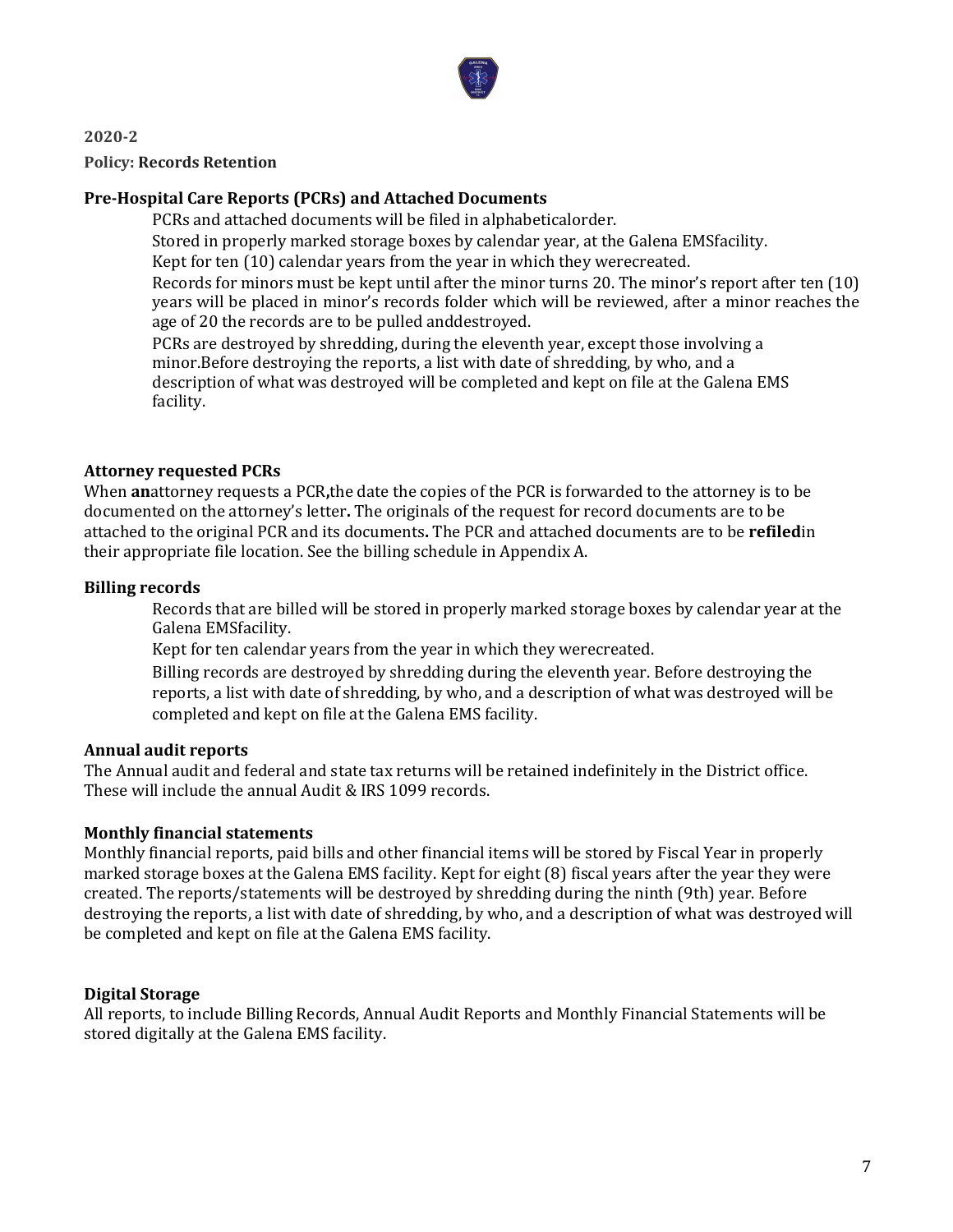

# **2020-2 Policy: Records Retention**

# **Pre-Hospital Care Reports (PCRs) and Attached Documents**

PCRs and attached documents will be filed in alphabeticalorder.

Stored in properly marked storage boxes by calendar year, at the Galena EMSfacility.

Kept for ten (10) calendar years from the year in which they werecreated.

Records for minors must be kept until after the minor turns 20. The minor's report after ten (10) years will be placed in minor's records folder which will be reviewed, after a minor reaches the age of 20 the records are to be pulled anddestroyed.

PCRs are destroyed by shredding, during the eleventh year, except those involving a minor.Before destroying the reports, a list with date of shredding, by who, and a description of what was destroyed will be completed and kept on file at the Galena EMS facility.

## **Attorney requested PCRs**

When **an**attorney requests a PCR**,**the date the copies of the PCR is forwarded to the attorney is to be documented on the attorney's letter**.** The originals of the request for record documents are to be attached to the original PCR and its documents**.** The PCR and attached documents are to be **refiled**in their appropriate file location. See the billing schedule in Appendix A.

# **Billing records**

Records that are billed will be stored in properly marked storage boxes by calendar year at the Galena EMSfacility.

Kept for ten calendar years from the year in which they werecreated.

Billing records are destroyed by shredding during the eleventh year. Before destroying the reports, a list with date of shredding, by who, and a description of what was destroyed will be completed and kept on file at the Galena EMS facility.

## **Annual audit reports**

The Annual audit and federal and state tax returns will be retained indefinitely in the District office. These will include the annual Audit & IRS 1099 records.

## **Monthly financial statements**

Monthly financial reports, paid bills and other financial items will be stored by Fiscal Year in properly marked storage boxes at the Galena EMS facility. Kept for eight (8) fiscal years after the year they were created. The reports/statements will be destroyed by shredding during the ninth (9th) year. Before destroying the reports, a list with date of shredding, by who, and a description of what was destroyed will be completed and kept on file at the Galena EMS facility.

# **Digital Storage**

All reports, to include Billing Records, Annual Audit Reports and Monthly Financial Statements will be stored digitally at the Galena EMS facility.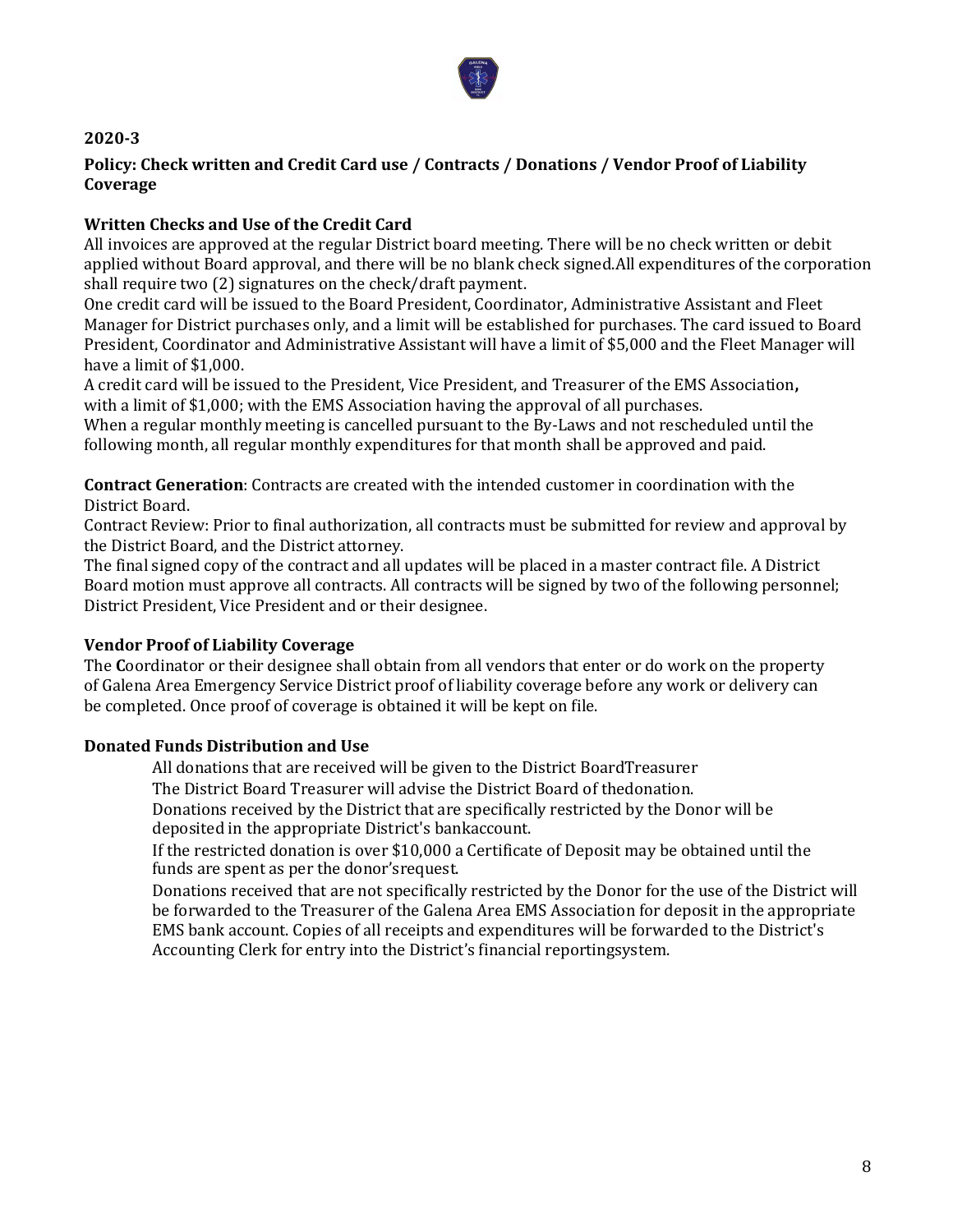

# **Policy: Check written and Credit Card use / Contracts / Donations / Vendor Proof of Liability Coverage**

# **Written Checks and Use of the Credit Card**

All invoices are approved at the regular District board meeting. There will be no check written or debit applied without Board approval, and there will be no blank check signed.All expenditures of the corporation shall require two (2) signatures on the check/draft payment.

One credit card will be issued to the Board President, Coordinator, Administrative Assistant and Fleet Manager for District purchases only, and a limit will be established for purchases. The card issued to Board President, Coordinator and Administrative Assistant will have a limit of \$5,000 and the Fleet Manager will have a limit of \$1,000.

A credit card will be issued to the President, Vice President, and Treasurer of the EMS Association**,** with a limit of \$1,000; with the EMS Association having the approval of all purchases.

When a regular monthly meeting is cancelled pursuant to the By-Laws and not rescheduled until the following month, all regular monthly expenditures for that month shall be approved and paid.

**Contract Generation**: Contracts are created with the intended customer in coordination with the District Board.

Contract Review: Prior to final authorization, all contracts must be submitted for review and approval by the District Board, and the District attorney.

The final signed copy of the contract and all updates will be placed in a master contract file. A District Board motion must approve all contracts. All contracts will be signed by two of the following personnel; District President, Vice President and or their designee.

## **Vendor Proof of Liability Coverage**

The **C**oordinator or their designee shall obtain from all vendors that enter or do work on the property of Galena Area Emergency Service District proof of liability coverage before any work or delivery can be completed. Once proof of coverage is obtained it will be kept on file.

## **Donated Funds Distribution and Use**

All donations that are received will be given to the District BoardTreasurer

The District Board Treasurer will advise the District Board of thedonation.

Donations received by the District that are specifically restricted by the Donor will be deposited in the appropriate District's bankaccount.

If the restricted donation is over \$10,000 a Certificate of Deposit may be obtained until the funds are spent as per the donor'srequest.

Donations received that are not specifically restricted by the Donor for the use of the District will be forwarded to the Treasurer of the Galena Area EMS Association for deposit in the appropriate EMS bank account. Copies of all receipts and expenditures will be forwarded to the District's Accounting Clerk for entry into the District's financial reportingsystem.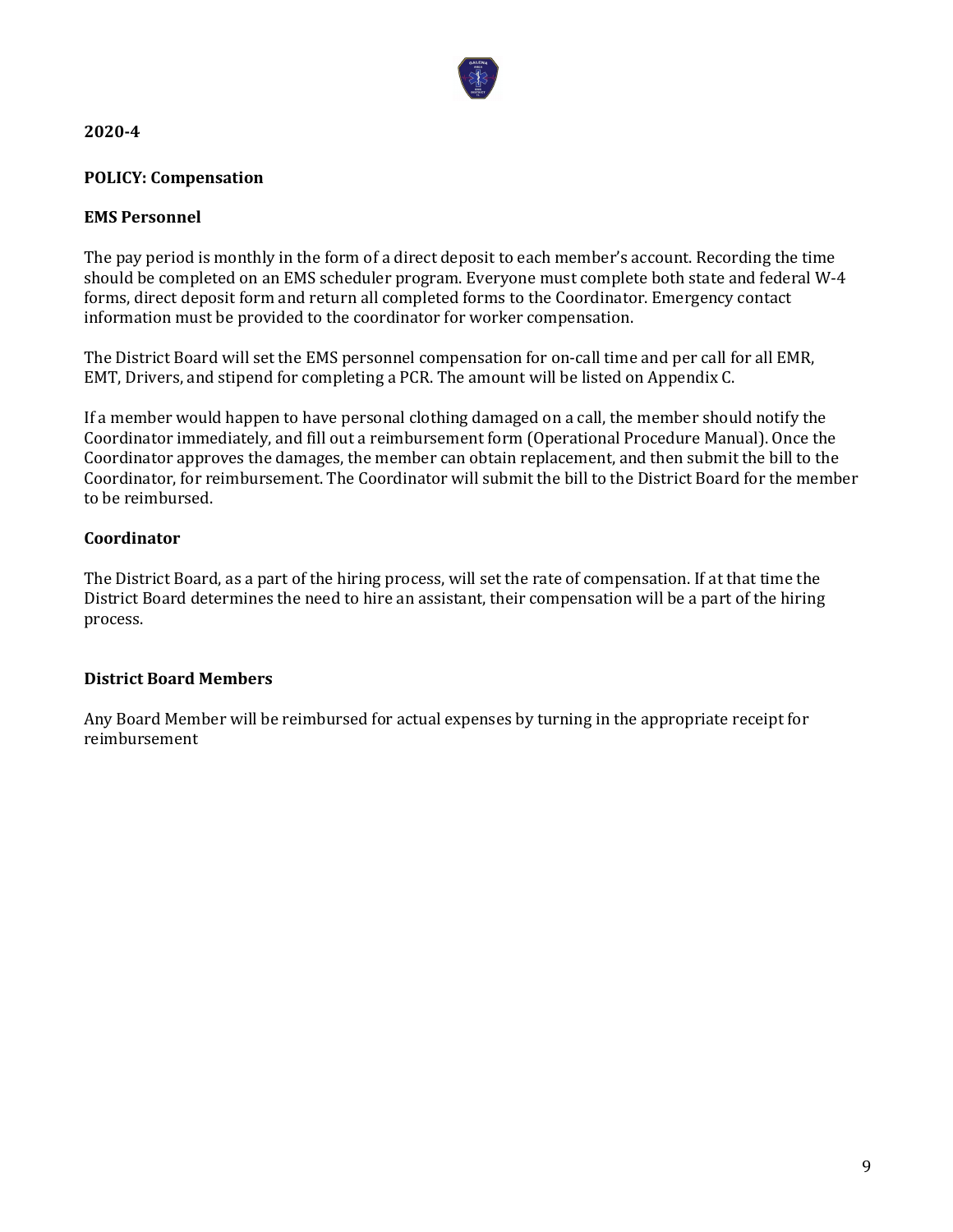

# **POLICY: Compensation**

## **EMS Personnel**

The pay period is monthly in the form of a direct deposit to each member's account. Recording the time should be completed on an EMS scheduler program. Everyone must complete both state and federal W-4 forms, direct deposit form and return all completed forms to the Coordinator. Emergency contact information must be provided to the coordinator for worker compensation.

The District Board will set the EMS personnel compensation for on-call time and per call for all EMR, EMT, Drivers, and stipend for completing a PCR. The amount will be listed on Appendix C.

If a member would happen to have personal clothing damaged on a call, the member should notify the Coordinator immediately, and fill out a reimbursement form (Operational Procedure Manual). Once the Coordinator approves the damages, the member can obtain replacement, and then submit the bill to the Coordinator, for reimbursement. The Coordinator will submit the bill to the District Board for the member to be reimbursed.

# **Coordinator**

The District Board, as a part of the hiring process, will set the rate of compensation. If at that time the District Board determines the need to hire an assistant, their compensation will be a part of the hiring process.

# **District Board Members**

Any Board Member will be reimbursed for actual expenses by turning in the appropriate receipt for reimbursement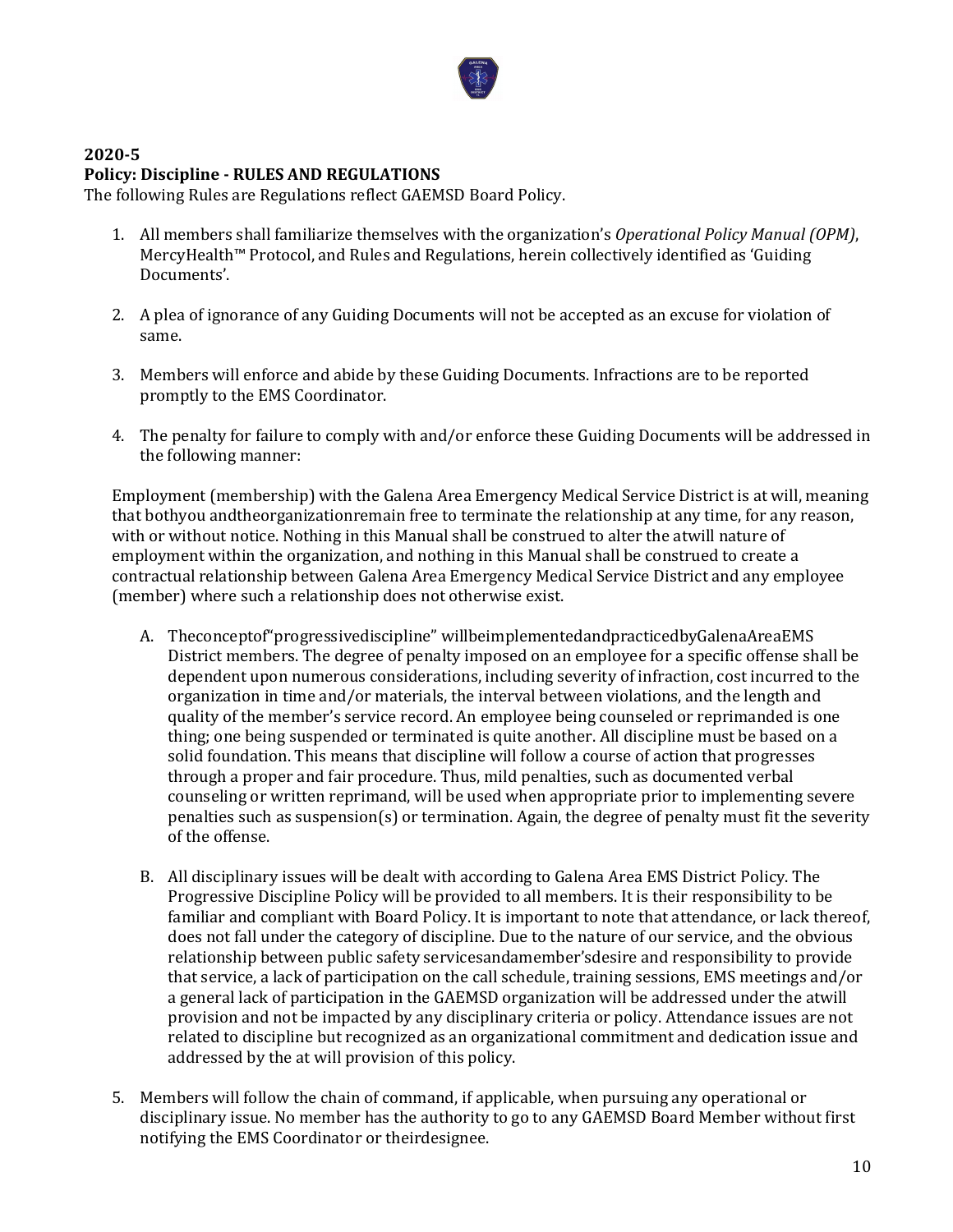

#### **2020-5 Policy: Discipline - RULES AND REGULATIONS**

The following Rules are Regulations reflect GAEMSD Board Policy.

- 1. All members shall familiarize themselves with the organization's *Operational Policy Manual (OPM)*, MercyHealth™ Protocol, and Rules and Regulations, herein collectively identified as 'Guiding Documents'.
- 2. A plea of ignorance of any Guiding Documents will not be accepted as an excuse for violation of same.
- 3. Members will enforce and abide by these Guiding Documents. Infractions are to be reported promptly to the EMS Coordinator.
- 4. The penalty for failure to comply with and/or enforce these Guiding Documents will be addressed in the following manner:

Employment (membership) with the Galena Area Emergency Medical Service District is at will, meaning that bothyou andtheorganizationremain free to terminate the relationship at any time, for any reason, with or without notice. Nothing in this Manual shall be construed to alter the atwill nature of employment within the organization, and nothing in this Manual shall be construed to create a contractual relationship between Galena Area Emergency Medical Service District and any employee (member) where such a relationship does not otherwise exist.

- A. Theconceptof"progressivediscipline" willbeimplementedandpracticedbyGalenaAreaEMS District members. The degree of penalty imposed on an employee for a specific offense shall be dependent upon numerous considerations, including severity of infraction, cost incurred to the organization in time and/or materials, the interval between violations, and the length and quality of the member's service record. An employee being counseled or reprimanded is one thing; one being suspended or terminated is quite another. All discipline must be based on a solid foundation. This means that discipline will follow a course of action that progresses through a proper and fair procedure. Thus, mild penalties, such as documented verbal counseling or written reprimand, will be used when appropriate prior to implementing severe penalties such as suspension(s) or termination. Again, the degree of penalty must fit the severity of the offense.
- B. All disciplinary issues will be dealt with according to Galena Area EMS District Policy. The Progressive Discipline Policy will be provided to all members. It is their responsibility to be familiar and compliant with Board Policy. It is important to note that attendance, or lack thereof, does not fall under the category of discipline. Due to the nature of our service, and the obvious relationship between public safety servicesandamember'sdesire and responsibility to provide that service, a lack of participation on the call schedule, training sessions, EMS meetings and/or a general lack of participation in the GAEMSD organization will be addressed under the atwill provision and not be impacted by any disciplinary criteria or policy. Attendance issues are not related to discipline but recognized as an organizational commitment and dedication issue and addressed by the at will provision of this policy.
- 5. Members will follow the chain of command, if applicable, when pursuing any operational or disciplinary issue. No member has the authority to go to any GAEMSD Board Member without first notifying the EMS Coordinator or theirdesignee.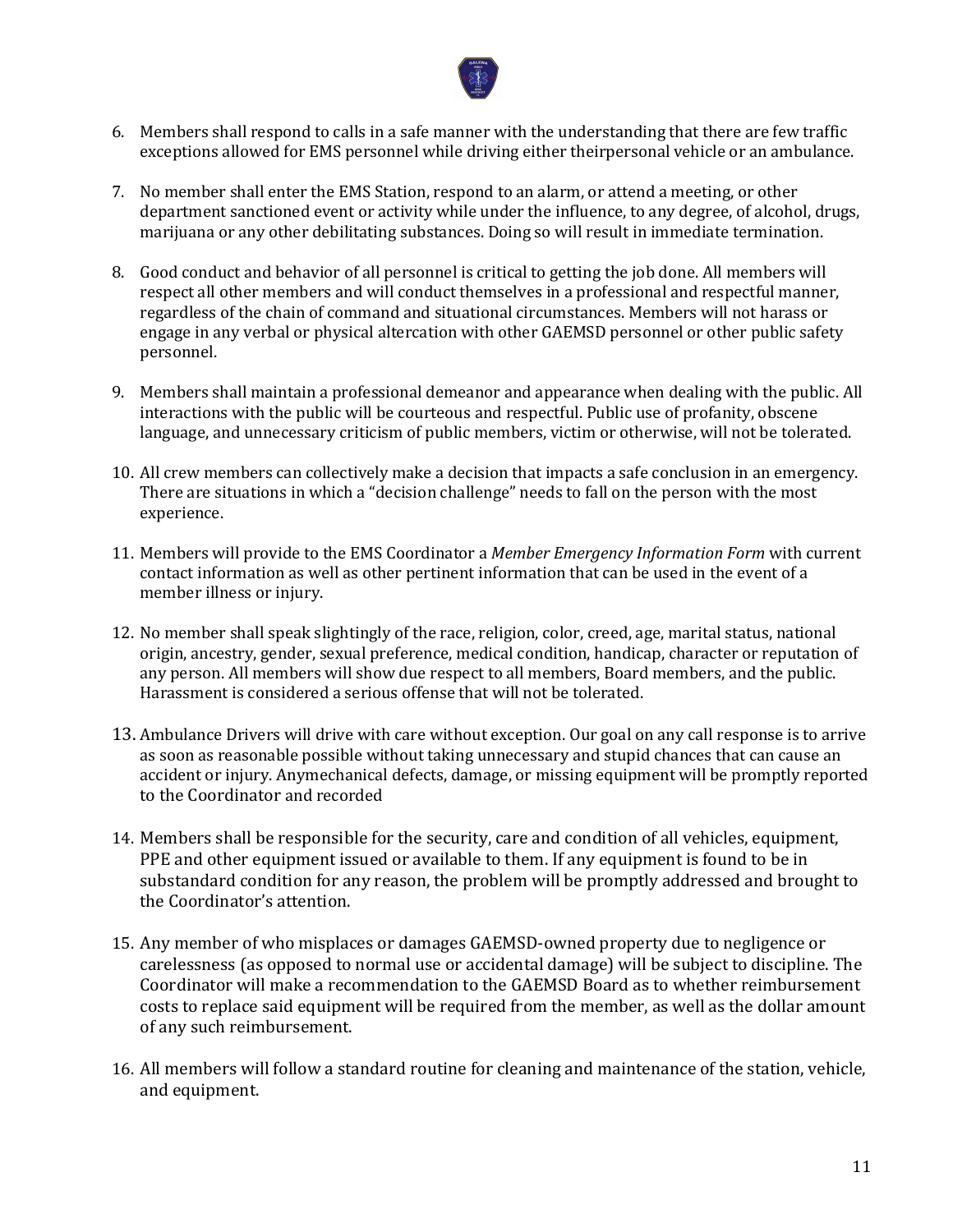

- 6. Members shall respond to calls in a safe manner with the understanding that there are few traffic exceptions allowed for EMS personnel while driving either theirpersonal vehicle or an ambulance.
- 7. No member shall enter the EMS Station, respond to an alarm, or attend a meeting, or other department sanctioned event or activity while under the influence, to any degree, of alcohol, drugs, marijuana or any other debilitating substances. Doing so will result in immediate termination.
- 8. Good conduct and behavior of all personnel is critical to getting the job done. All members will respect all other members and will conduct themselves in a professional and respectful manner, regardless of the chain of command and situational circumstances. Members will not harass or engage in any verbal or physical altercation with other GAEMSD personnel or other public safety personnel.
- 9. Members shall maintain a professional demeanor and appearance when dealing with the public. All interactions with the public will be courteous and respectful. Public use of profanity, obscene language, and unnecessary criticism of public members, victim or otherwise, will not be tolerated.
- 10. All crew members can collectively make a decision that impacts a safe conclusion in an emergency. There are situations in which a "decision challenge" needs to fall on the person with the most experience.
- 11. Members will provide to the EMS Coordinator a *Member Emergency Information Form* with current contact information as well as other pertinent information that can be used in the event of a member illness or injury.
- 12. No member shall speak slightingly of the race, religion, color, creed, age, marital status, national origin, ancestry, gender, sexual preference, medical condition, handicap, character or reputation of any person. All members will show due respect to all members, Board members, and the public. Harassment is considered a serious offense that will not be tolerated.
- 13. Ambulance Drivers will drive with care without exception. Our goal on any call response is to arrive as soon as reasonable possible without taking unnecessary and stupid chances that can cause an accident or injury. Anymechanical defects, damage, or missing equipment will be promptly reported to the Coordinator and recorded
- 14. Members shall be responsible for the security, care and condition of all vehicles, equipment, PPE and other equipment issued or available to them. If any equipment is found to be in substandard condition for any reason, the problem will be promptly addressed and brought to the Coordinator's attention.
- 15. Any member of who misplaces or damages GAEMSD-owned property due to negligence or carelessness (as opposed to normal use or accidental damage) will be subject to discipline. The Coordinator will make a recommendation to the GAEMSD Board as to whether reimbursement costs to replace said equipment will be required from the member, as well as the dollar amount of any such reimbursement.
- 16. All members will follow a standard routine for cleaning and maintenance of the station, vehicle, and equipment.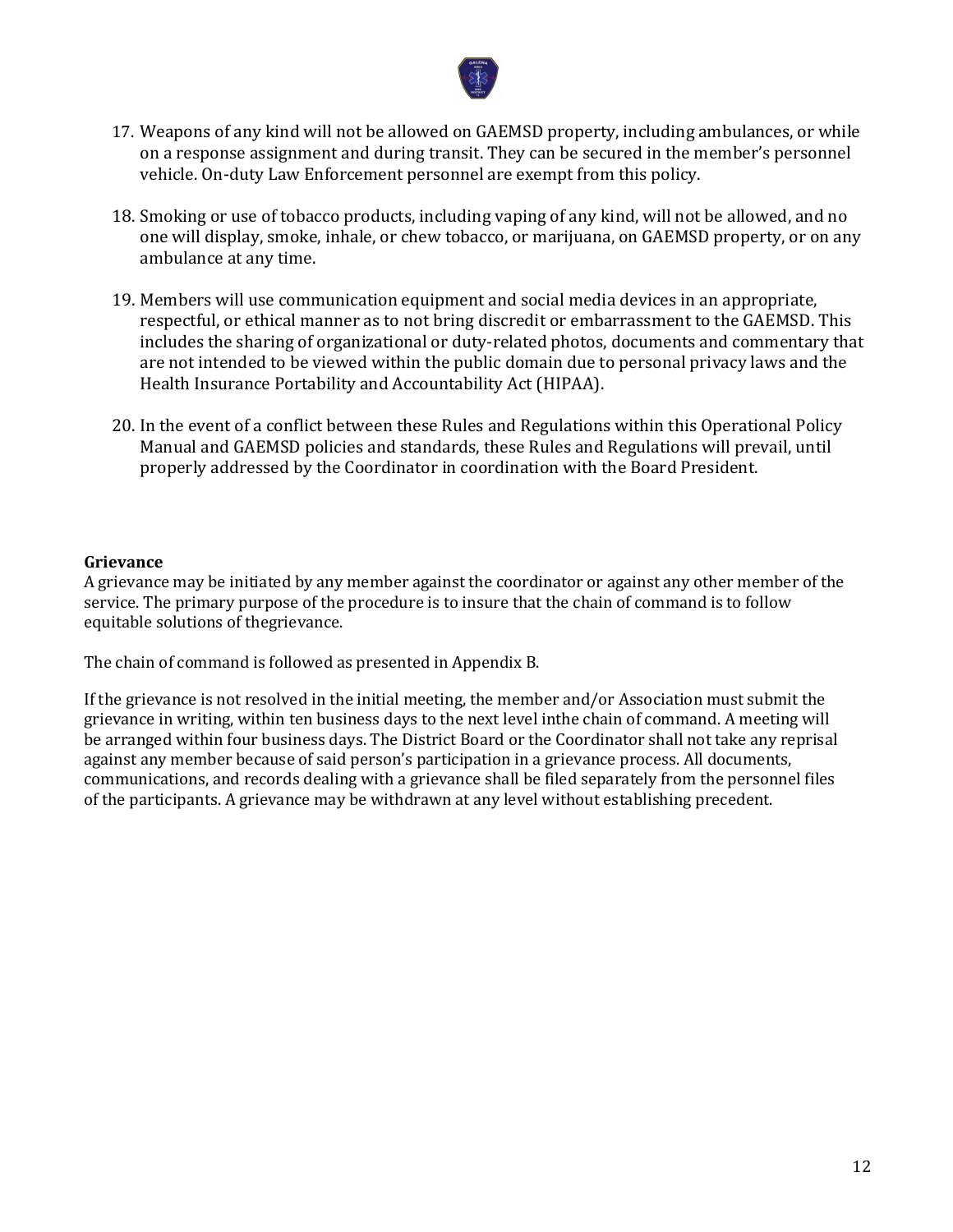

- 17. Weapons of any kind will not be allowed on GAEMSD property, including ambulances, or while on a response assignment and during transit. They can be secured in the member's personnel vehicle. On-duty Law Enforcement personnel are exempt from this policy.
- 18. Smoking or use of tobacco products, including vaping of any kind, will not be allowed, and no one will display, smoke, inhale, or chew tobacco, or marijuana, on GAEMSD property, or on any ambulance at any time.
- 19. Members will use communication equipment and social media devices in an appropriate, respectful, or ethical manner as to not bring discredit or embarrassment to the GAEMSD. This includes the sharing of organizational or duty-related photos, documents and commentary that are not intended to be viewed within the public domain due to personal privacy laws and the Health Insurance Portability and Accountability Act (HIPAA).
- 20. In the event of a conflict between these Rules and Regulations within this Operational Policy Manual and GAEMSD policies and standards, these Rules and Regulations will prevail, until properly addressed by the Coordinator in coordination with the Board President.

#### **Grievance**

A grievance may be initiated by any member against the coordinator or against any other member of the service. The primary purpose of the procedure is to insure that the chain of command is to follow equitable solutions of thegrievance.

The chain of command is followed as presented in Appendix B.

If the grievance is not resolved in the initial meeting, the member and/or Association must submit the grievance in writing, within ten business days to the next level inthe chain of command. A meeting will be arranged within four business days. The District Board or the Coordinator shall not take any reprisal against any member because of said person's participation in a grievance process. All documents, communications, and records dealing with a grievance shall be filed separately from the personnel files of the participants. A grievance may be withdrawn at any level without establishing precedent.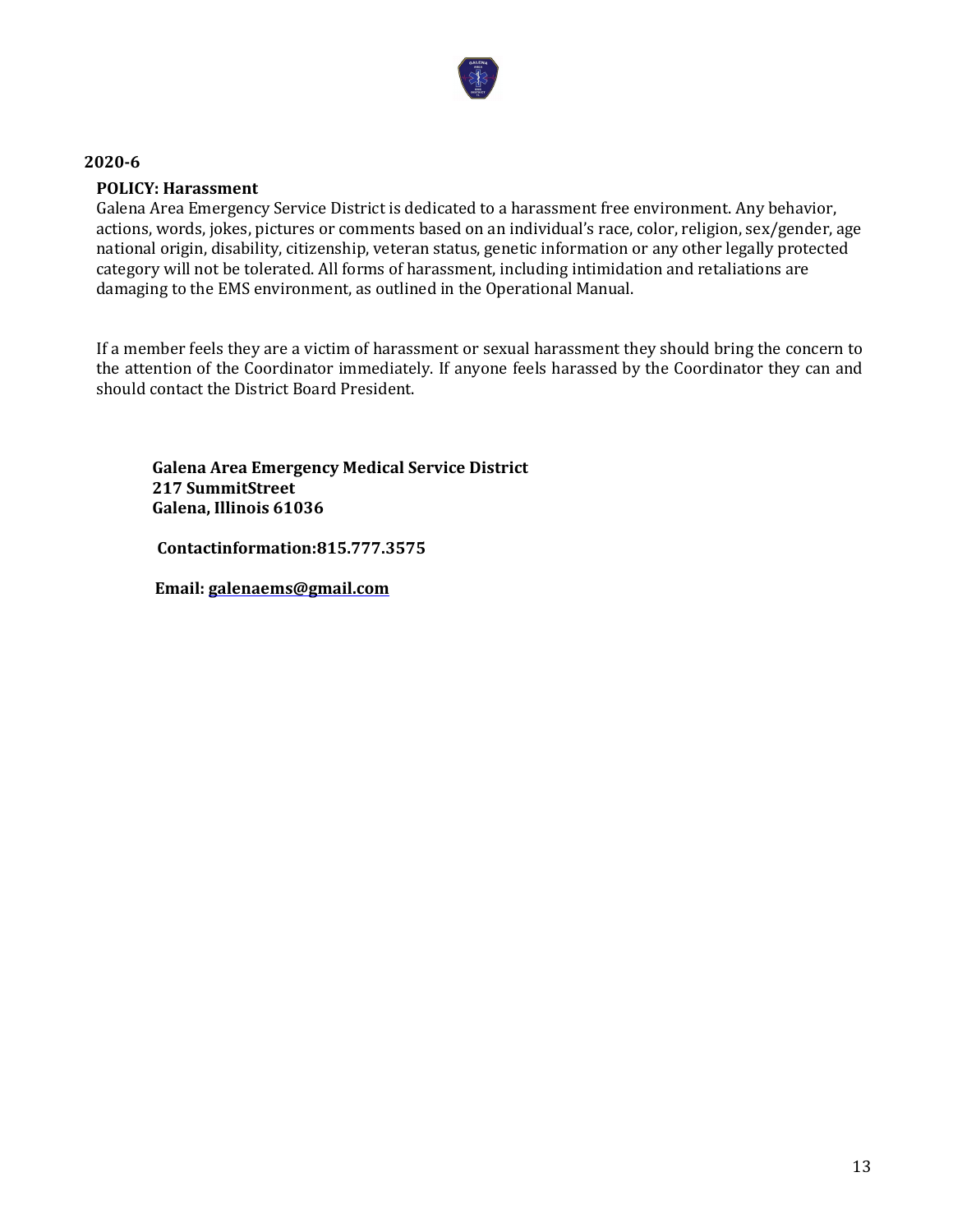

#### **POLICY: Harassment**

Galena Area Emergency Service District is dedicated to a harassment free environment. Any behavior, actions, words, jokes, pictures or comments based on an individual's race, color, religion, sex/gender, age national origin, disability, citizenship, veteran status, genetic information or any other legally protected category will not be tolerated. All forms of harassment, including intimidation and retaliations are damaging to the EMS environment, as outlined in the Operational Manual.

If a member feels they are a victim of harassment or sexual harassment they should bring the concern to the attention of the Coordinator immediately. If anyone feels harassed by the Coordinator they can and should contact the District Board President.

**Galena Area Emergency Medical Service District 217 SummitStreet Galena, Illinois 61036** 

 **Contactinformation:815.777.3575** 

 **Email: galenaems@gmail.com**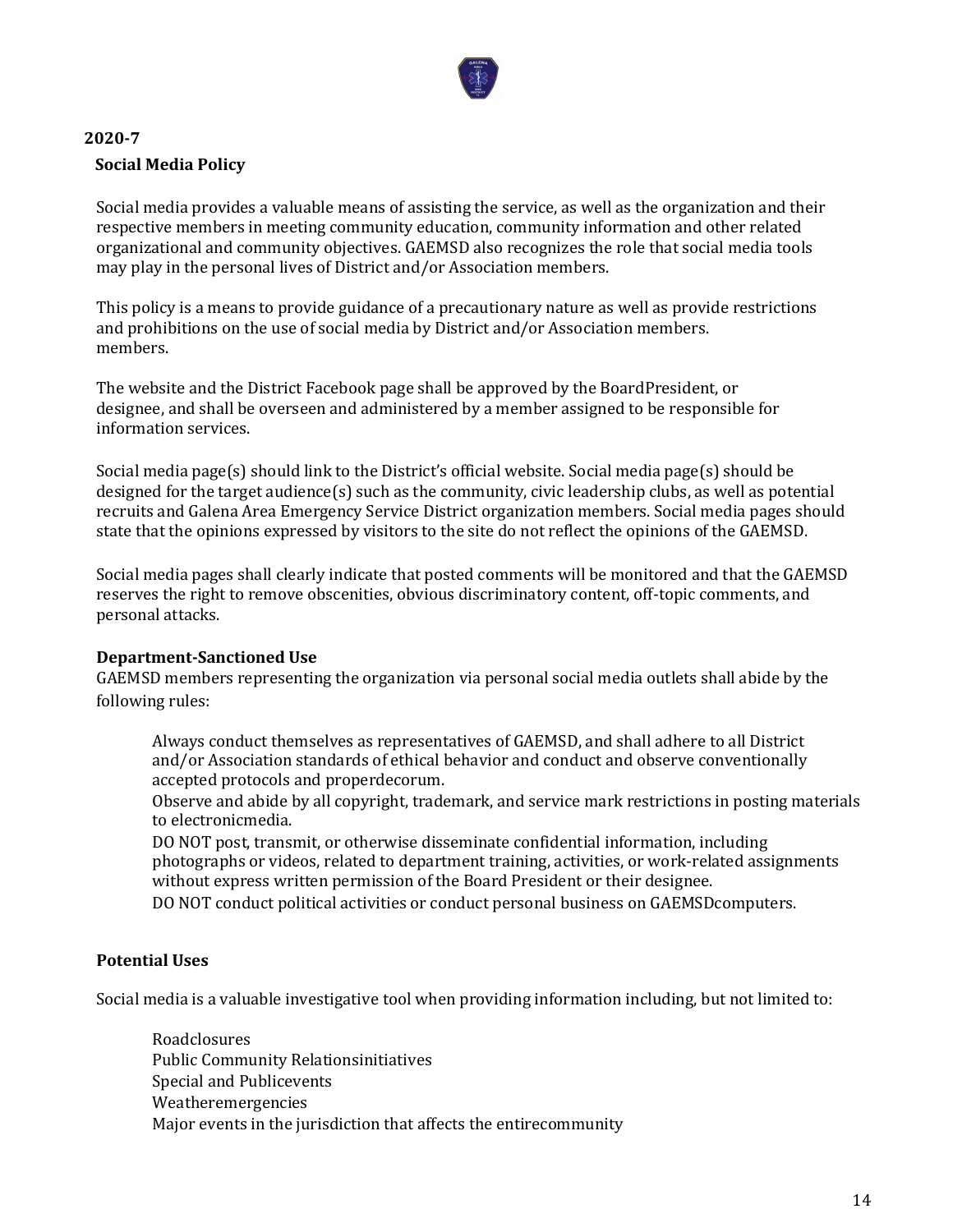

# **2020-7 Social Media Policy**

Social media provides a valuable means of assisting the service, as well as the organization and their respective members in meeting community education, community information and other related organizational and community objectives. GAEMSD also recognizes the role that social media tools may play in the personal lives of District and/or Association members.

This policy is a means to provide guidance of a precautionary nature as well as provide restrictions and prohibitions on the use of social media by District and/or Association members. members.

The website and the District Facebook page shall be approved by the BoardPresident, or designee, and shall be overseen and administered by a member assigned to be responsible for information services.

Social media page(s) should link to the District's official website. Social media page(s) should be designed for the target audience(s) such as the community, civic leadership clubs, as well as potential recruits and Galena Area Emergency Service District organization members. Social media pages should state that the opinions expressed by visitors to the site do not reflect the opinions of the GAEMSD.

Social media pages shall clearly indicate that posted comments will be monitored and that the GAEMSD reserves the right to remove obscenities, obvious discriminatory content, off-topic comments, and personal attacks.

## **Department-Sanctioned Use**

GAEMSD members representing the organization via personal social media outlets shall abide by the following rules:

Always conduct themselves as representatives of GAEMSD, and shall adhere to all District and/or Association standards of ethical behavior and conduct and observe conventionally accepted protocols and properdecorum.

Observe and abide by all copyright, trademark, and service mark restrictions in posting materials to electronicmedia.

DO NOT post, transmit, or otherwise disseminate confidential information, including photographs or videos, related to department training, activities, or work-related assignments without express written permission of the Board President or their designee.

DO NOT conduct political activities or conduct personal business on GAEMSDcomputers.

## **Potential Uses**

Social media is a valuable investigative tool when providing information including, but not limited to:

Roadclosures Public Community Relationsinitiatives Special and Publicevents Weatheremergencies Major events in the jurisdiction that affects the entirecommunity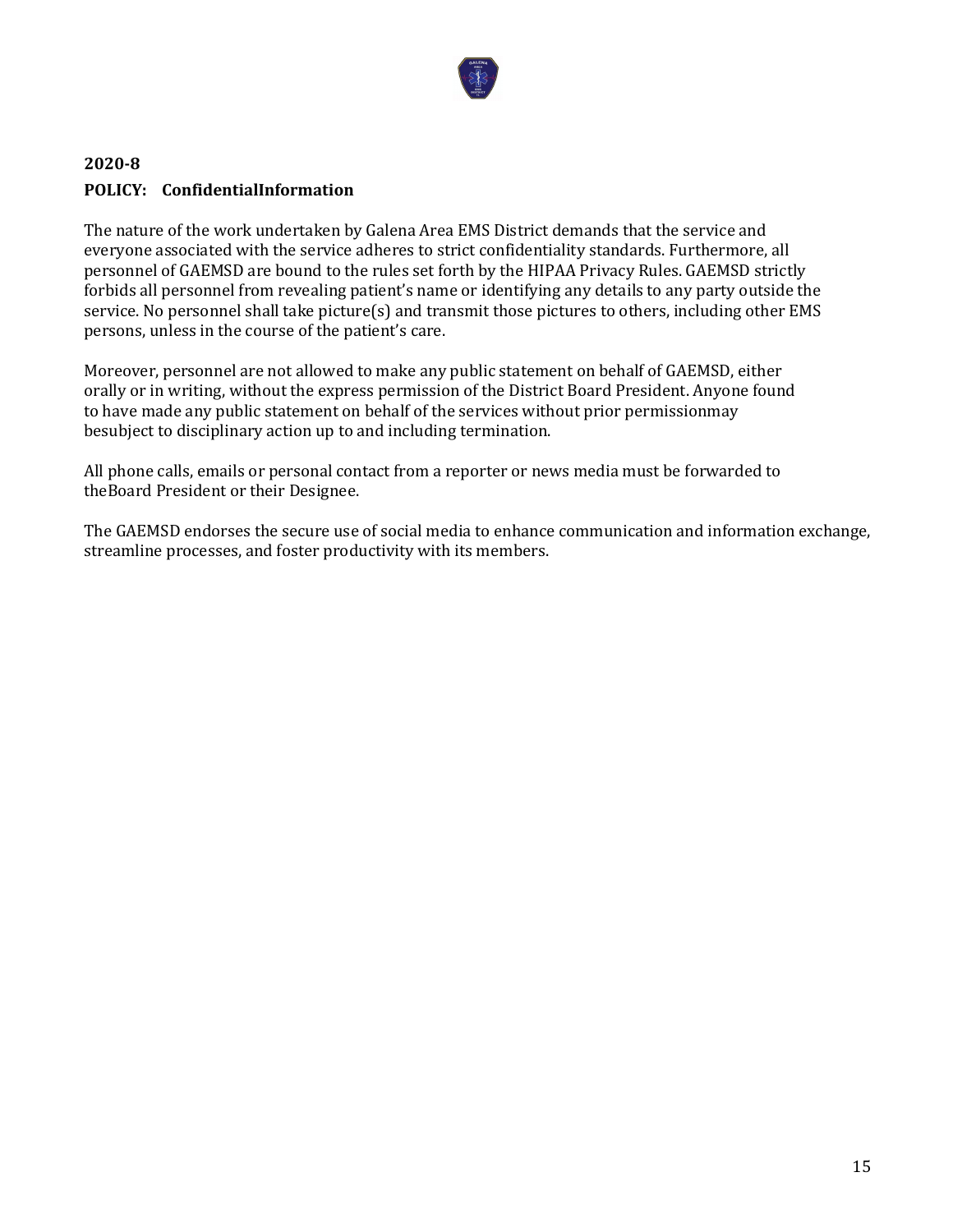

# **2020-8 POLICY: ConfidentialInformation**

The nature of the work undertaken by Galena Area EMS District demands that the service and everyone associated with the service adheres to strict confidentiality standards. Furthermore, all personnel of GAEMSD are bound to the rules set forth by the HIPAA Privacy Rules. GAEMSD strictly forbids all personnel from revealing patient's name or identifying any details to any party outside the service. No personnel shall take picture(s) and transmit those pictures to others, including other EMS persons, unless in the course of the patient's care.

Moreover, personnel are not allowed to make any public statement on behalf of GAEMSD, either orally or in writing, without the express permission of the District Board President. Anyone found to have made any public statement on behalf of the services without prior permissionmay besubject to disciplinary action up to and including termination.

All phone calls, emails or personal contact from a reporter or news media must be forwarded to theBoard President or their Designee.

The GAEMSD endorses the secure use of social media to enhance communication and information exchange, streamline processes, and foster productivity with its members.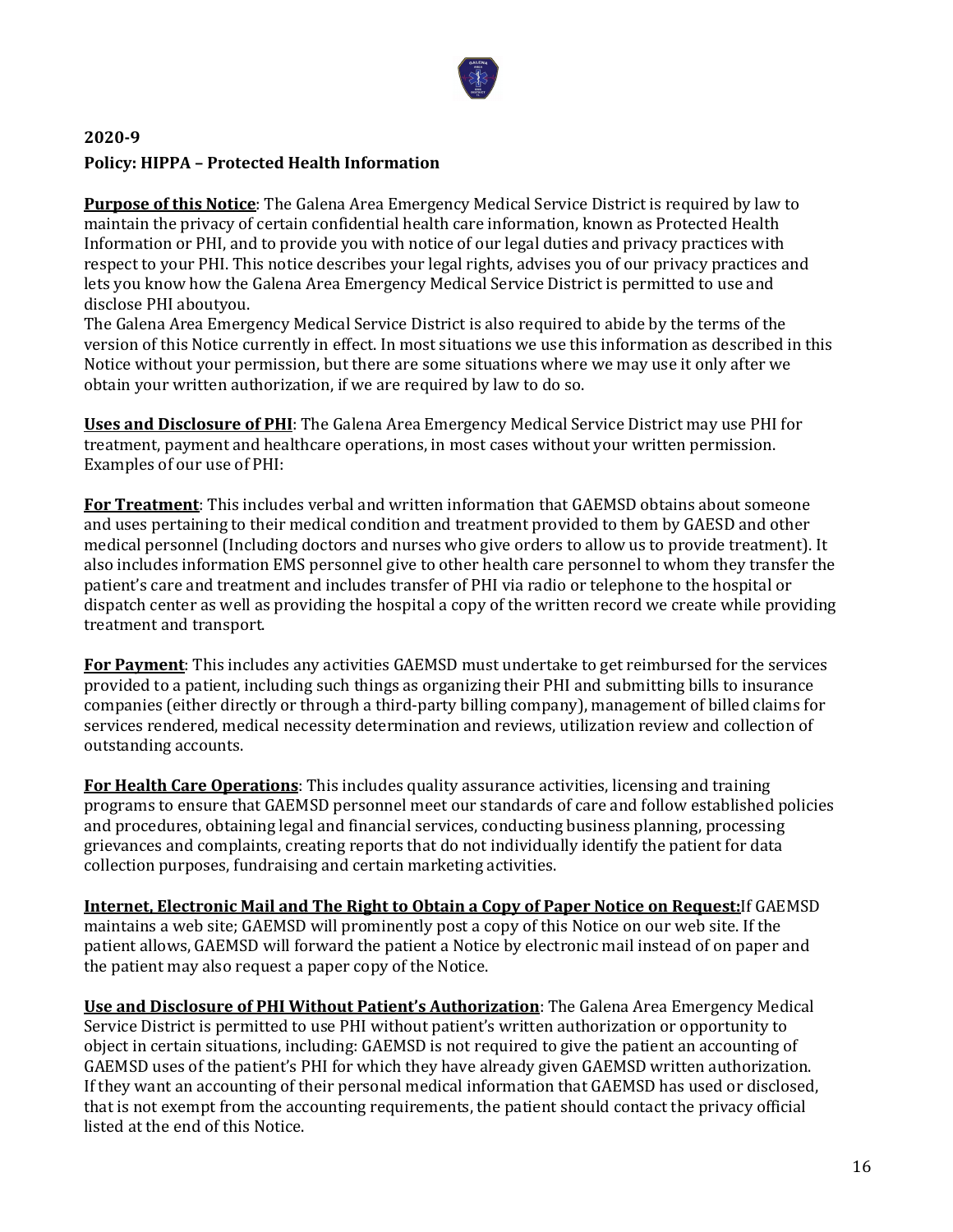

# **2020-9 Policy: HIPPA – Protected Health Information**

**Purpose of this Notice**: The Galena Area Emergency Medical Service District is required by law to maintain the privacy of certain confidential health care information, known as Protected Health Information or PHI, and to provide you with notice of our legal duties and privacy practices with respect to your PHI. This notice describes your legal rights, advises you of our privacy practices and lets you know how the Galena Area Emergency Medical Service District is permitted to use and disclose PHI aboutyou.

The Galena Area Emergency Medical Service District is also required to abide by the terms of the version of this Notice currently in effect. In most situations we use this information as described in this Notice without your permission, but there are some situations where we may use it only after we obtain your written authorization, if we are required by law to do so.

**Uses and Disclosure of PHI**: The Galena Area Emergency Medical Service District may use PHI for treatment, payment and healthcare operations, in most cases without your written permission. Examples of our use of PHI:

**For Treatment**: This includes verbal and written information that GAEMSD obtains about someone and uses pertaining to their medical condition and treatment provided to them by GAESD and other medical personnel (Including doctors and nurses who give orders to allow us to provide treatment). It also includes information EMS personnel give to other health care personnel to whom they transfer the patient's care and treatment and includes transfer of PHI via radio or telephone to the hospital or dispatch center as well as providing the hospital a copy of the written record we create while providing treatment and transport.

**For Payment**: This includes any activities GAEMSD must undertake to get reimbursed for the services provided to a patient, including such things as organizing their PHI and submitting bills to insurance companies (either directly or through a third-party billing company), management of billed claims for services rendered, medical necessity determination and reviews, utilization review and collection of outstanding accounts.

**For Health Care Operations**: This includes quality assurance activities, licensing and training programs to ensure that GAEMSD personnel meet our standards of care and follow established policies and procedures, obtaining legal and financial services, conducting business planning, processing grievances and complaints, creating reports that do not individually identify the patient for data collection purposes, fundraising and certain marketing activities.

**Internet, Electronic Mail and The Right to Obtain a Copy of Paper Notice on Request:**If GAEMSD maintains a web site; GAEMSD will prominently post a copy of this Notice on our web site. If the patient allows, GAEMSD will forward the patient a Notice by electronic mail instead of on paper and the patient may also request a paper copy of the Notice.

**Use and Disclosure of PHI Without Patient's Authorization**: The Galena Area Emergency Medical Service District is permitted to use PHI without patient's written authorization or opportunity to object in certain situations, including: GAEMSD is not required to give the patient an accounting of GAEMSD uses of the patient's PHI for which they have already given GAEMSD written authorization. If they want an accounting of their personal medical information that GAEMSD has used or disclosed, that is not exempt from the accounting requirements, the patient should contact the privacy official listed at the end of this Notice.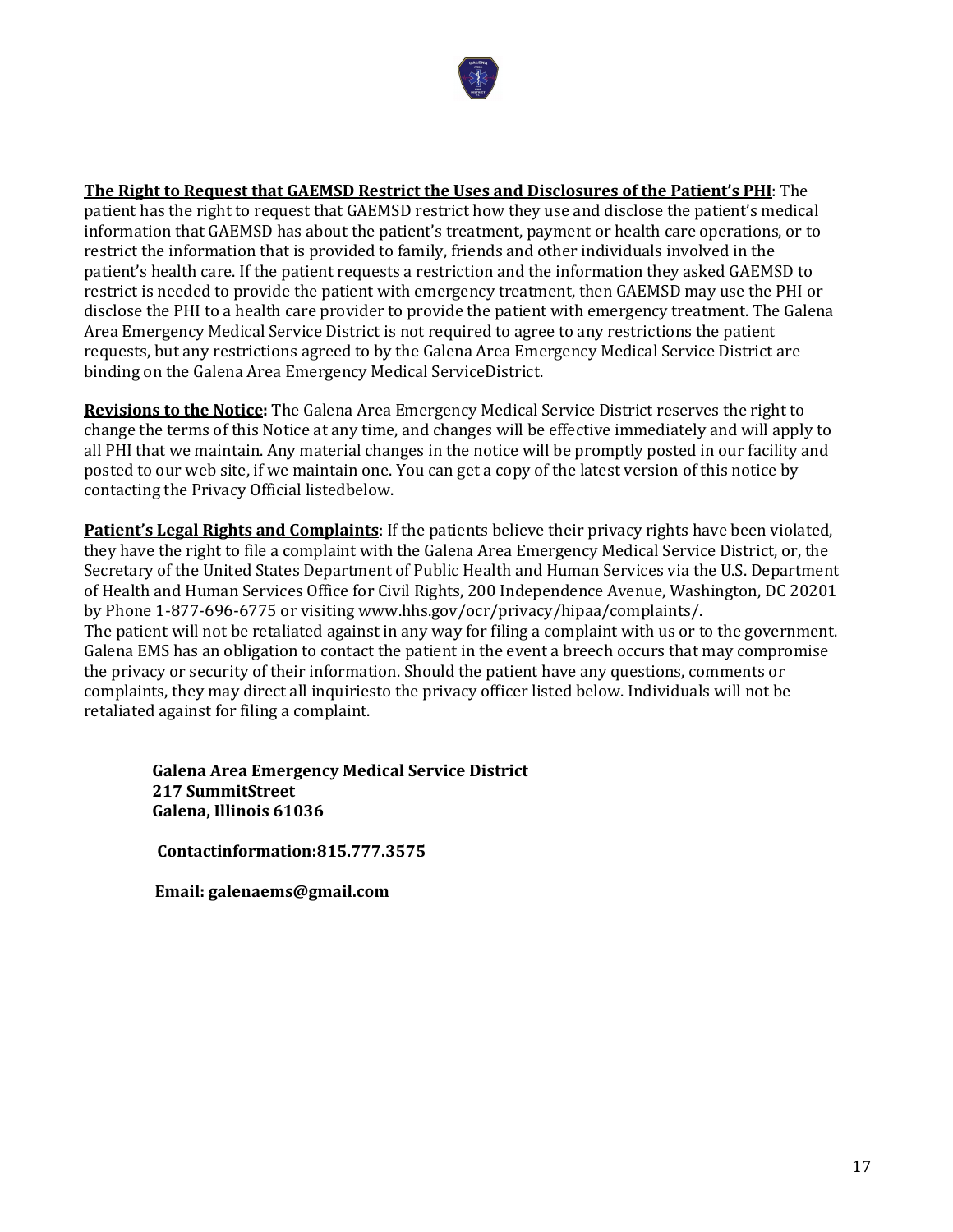

# **The Right to Request that GAEMSD Restrict the Uses and Disclosures of the Patient's PHI**: The

patient has the right to request that GAEMSD restrict how they use and disclose the patient's medical information that GAEMSD has about the patient's treatment, payment or health care operations, or to restrict the information that is provided to family, friends and other individuals involved in the patient's health care. If the patient requests a restriction and the information they asked GAEMSD to restrict is needed to provide the patient with emergency treatment, then GAEMSD may use the PHI or disclose the PHI to a health care provider to provide the patient with emergency treatment. The Galena Area Emergency Medical Service District is not required to agree to any restrictions the patient requests, but any restrictions agreed to by the Galena Area Emergency Medical Service District are binding on the Galena Area Emergency Medical ServiceDistrict.

**Revisions to the Notice:** The Galena Area Emergency Medical Service District reserves the right to change the terms of this Notice at any time, and changes will be effective immediately and will apply to all PHI that we maintain. Any material changes in the notice will be promptly posted in our facility and posted to our web site, if we maintain one. You can get a copy of the latest version of this notice by contacting the Privacy Official listedbelow.

**Patient's Legal Rights and Complaints**: If the patients believe their privacy rights have been violated, they have the right to file a complaint with the Galena Area Emergency Medical Service District, or, the Secretary of the United States Department of Public Health and Human Services via the U.S. Department of Health and Human Services Office for Civil Rights, 200 Independence Avenue, Washington, DC 20201 by Phone 1-877-696-6775 or visiting www.hhs.gov/ocr/privacy/hipaa/complaints/. The patient will not be retaliated against in any way for filing a complaint with us or to the government. Galena EMS has an obligation to contact the patient in the event a breech occurs that may compromise the privacy or security of their information. Should the patient have any questions, comments or complaints, they may direct all inquiriesto the privacy officer listed below. Individuals will not be retaliated against for filing a complaint.

**Galena Area Emergency Medical Service District 217 SummitStreet Galena, Illinois 61036** 

 **Contactinformation:815.777.3575** 

 **Email: galenaems@gmail.com**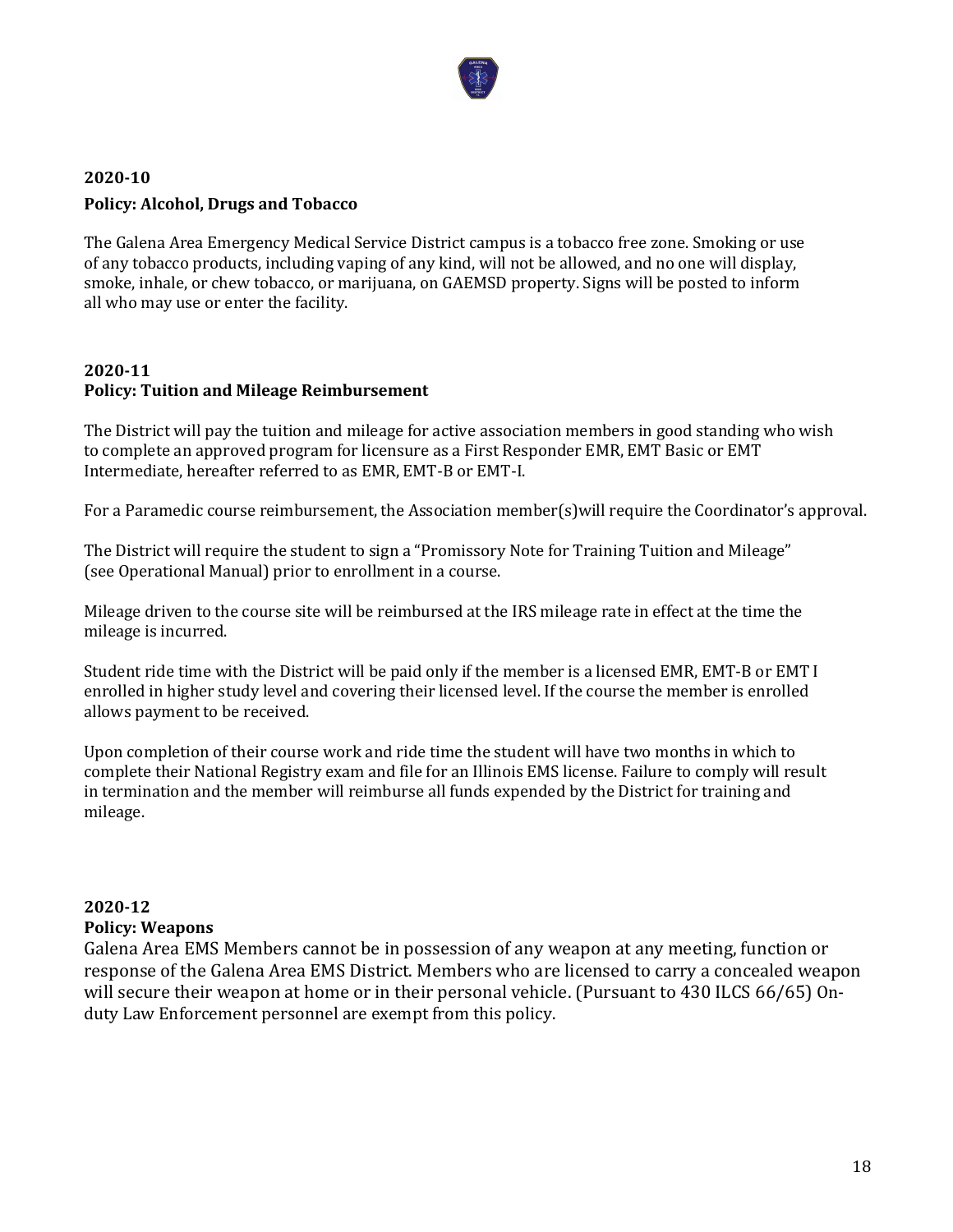

# **2020-10 Policy: Alcohol, Drugs and Tobacco**

The Galena Area Emergency Medical Service District campus is a tobacco free zone. Smoking or use of any tobacco products, including vaping of any kind, will not be allowed, and no one will display, smoke, inhale, or chew tobacco, or marijuana, on GAEMSD property. Signs will be posted to inform all who may use or enter the facility.

# **2020-11 Policy: Tuition and Mileage Reimbursement**

The District will pay the tuition and mileage for active association members in good standing who wish to complete an approved program for licensure as a First Responder EMR, EMT Basic or EMT Intermediate, hereafter referred to as EMR, EMT-B or EMT-I.

For a Paramedic course reimbursement, the Association member(s)will require the Coordinator's approval.

The District will require the student to sign a "Promissory Note for Training Tuition and Mileage" (see Operational Manual) prior to enrollment in a course.

Mileage driven to the course site will be reimbursed at the IRS mileage rate in effect at the time the mileage is incurred.

Student ride time with the District will be paid only if the member is a licensed EMR, EMT-B or EMT I enrolled in higher study level and covering their licensed level. If the course the member is enrolled allows payment to be received.

Upon completion of their course work and ride time the student will have two months in which to complete their National Registry exam and file for an Illinois EMS license. Failure to comply will result in termination and the member will reimburse all funds expended by the District for training and mileage.

# **2020-12 Policy: Weapons**

Galena Area EMS Members cannot be in possession of any weapon at any meeting, function or response of the Galena Area EMS District. Members who are licensed to carry a concealed weapon will secure their weapon at home or in their personal vehicle. (Pursuant to 430 ILCS 66/65) Onduty Law Enforcement personnel are exempt from this policy.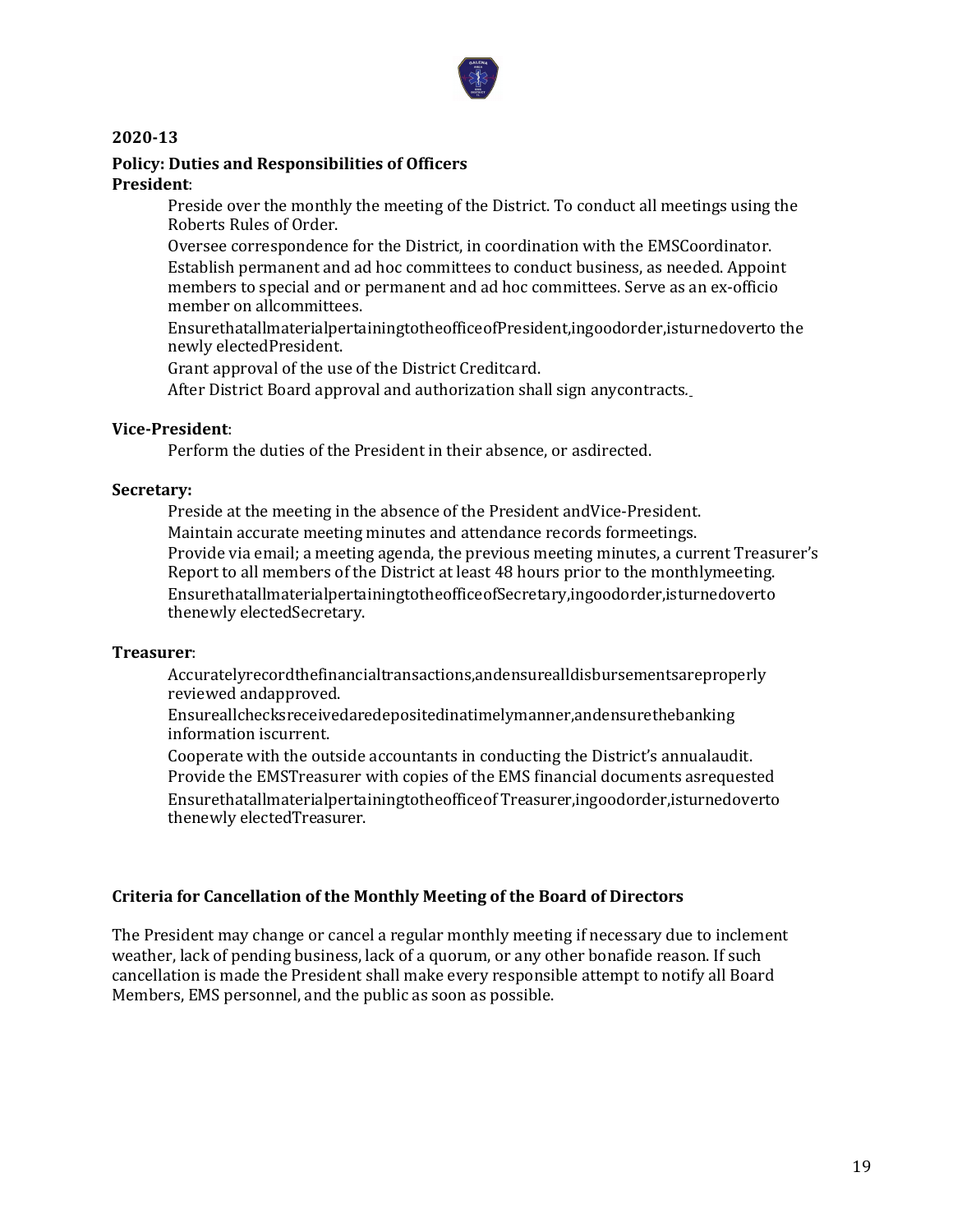

#### **Policy: Duties and Responsibilities of Officers President**:

Preside over the monthly the meeting of the District. To conduct all meetings using the Roberts Rules of Order.

Oversee correspondence for the District, in coordination with the EMSCoordinator. Establish permanent and ad hoc committees to conduct business, as needed. Appoint members to special and or permanent and ad hoc committees. Serve as an ex-officio member on allcommittees.

EnsurethatallmaterialpertainingtotheofficeofPresident,ingoodorder,isturnedoverto the newly electedPresident.

Grant approval of the use of the District Creditcard.

After District Board approval and authorization shall sign anycontracts*.* 

#### **Vice-President**:

Perform the duties of the President in their absence, or asdirected.

#### **Secretary:**

Preside at the meeting in the absence of the President andVice-President. Maintain accurate meeting minutes and attendance records formeetings. Provide via email; a meeting agenda, the previous meeting minutes, a current Treasurer's Report to all members of the District at least 48 hours prior to the monthlymeeting. EnsurethatallmaterialpertainingtotheofficeofSecretary,ingoodorder,isturnedoverto thenewly electedSecretary.

#### **Treasurer**:

Accuratelyrecordthefinancialtransactions,andensurealldisbursementsareproperly reviewed andapproved.

Ensureallchecksreceivedaredepositedinatimelymanner,andensurethebanking information iscurrent.

Cooperate with the outside accountants in conducting the District's annualaudit. Provide the EMSTreasurer with copies of the EMS financial documents asrequested Ensurethatallmaterialpertainingtotheofficeof Treasurer,ingoodorder,isturnedoverto thenewly electedTreasurer.

#### **Criteria for Cancellation of the Monthly Meeting of the Board of Directors**

The President may change or cancel a regular monthly meeting if necessary due to inclement weather, lack of pending business, lack of a quorum, or any other bonafide reason. If such cancellation is made the President shall make every responsible attempt to notify all Board Members, EMS personnel, and the public as soon as possible.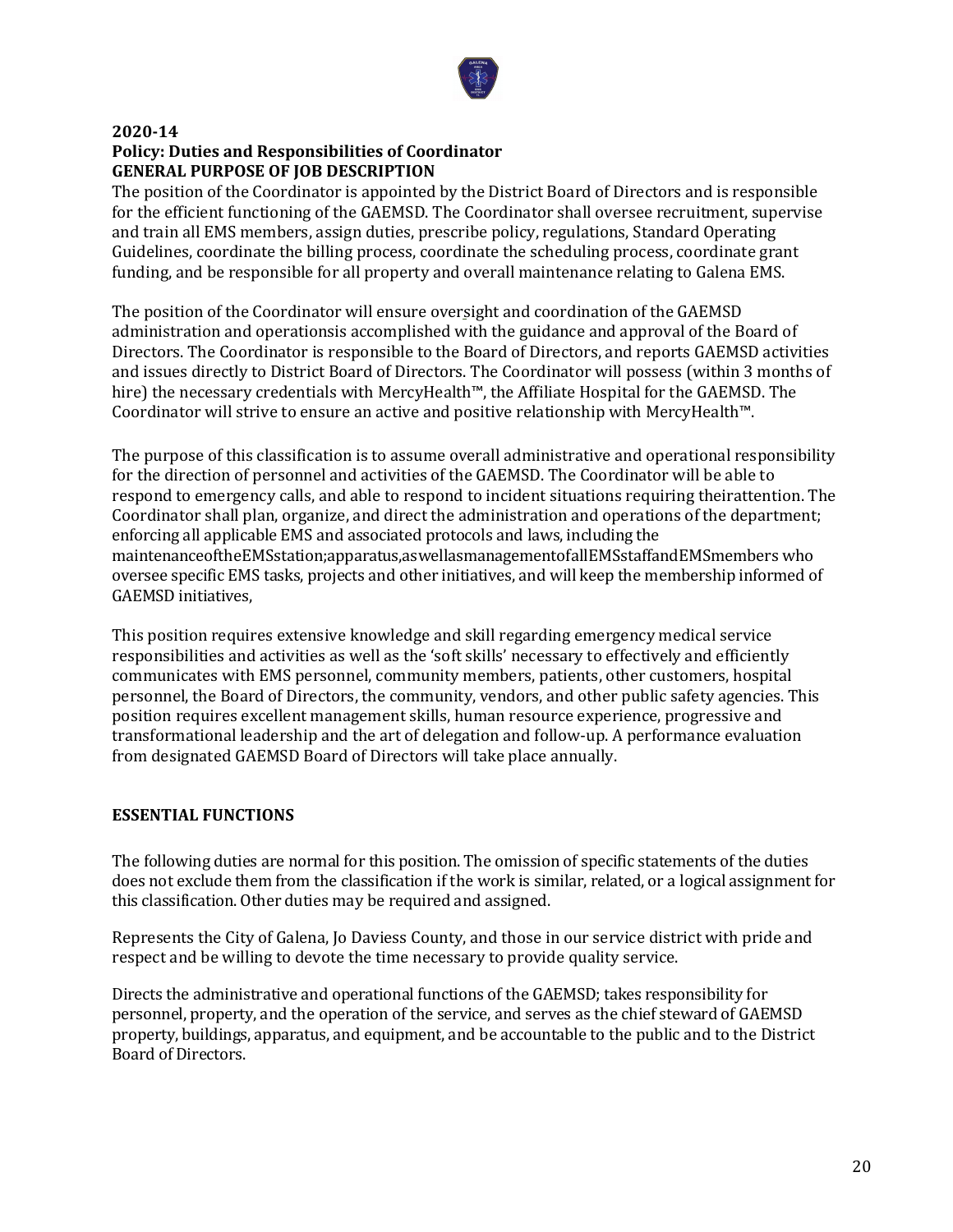

### **2020-14 Policy: Duties and Responsibilities of Coordinator GENERAL PURPOSE OF JOB DESCRIPTION**

The position of the Coordinator is appointed by the District Board of Directors and is responsible for the efficient functioning of the GAEMSD. The Coordinator shall oversee recruitment, supervise and train all EMS members, assign duties, prescribe policy, regulations, Standard Operating Guidelines, coordinate the billing process, coordinate the scheduling process, coordinate grant funding, and be responsible for all property and overall maintenance relating to Galena EMS.

The position of the Coordinator will ensure oversight and coordination of the GAEMSD administration and operationsis accomplished with the guidance and approval of the Board of Directors. The Coordinator is responsible to the Board of Directors, and reports GAEMSD activities and issues directly to District Board of Directors. The Coordinator will possess (within 3 months of hire) the necessary credentials with MercyHealth™, the Affiliate Hospital for the GAEMSD. The Coordinator will strive to ensure an active and positive relationship with MercyHealth™.

The purpose of this classification is to assume overall administrative and operational responsibility for the direction of personnel and activities of the GAEMSD. The Coordinator will be able to respond to emergency calls, and able to respond to incident situations requiring theirattention. The Coordinator shall plan, organize, and direct the administration and operations of the department; enforcing all applicable EMS and associated protocols and laws, including the maintenanceoftheEMSstation;apparatus,aswellasmanagementofallEMSstaffandEMSmembers who oversee specific EMS tasks, projects and other initiatives, and will keep the membership informed of GAEMSD initiatives,

This position requires extensive knowledge and skill regarding emergency medical service responsibilities and activities as well as the 'soft skills' necessary to effectively and efficiently communicates with EMS personnel, community members, patients, other customers, hospital personnel, the Board of Directors, the community, vendors, and other public safety agencies. This position requires excellent management skills, human resource experience, progressive and transformational leadership and the art of delegation and follow-up. A performance evaluation from designated GAEMSD Board of Directors will take place annually.

## **ESSENTIAL FUNCTIONS**

The following duties are normal for this position. The omission of specific statements of the duties does not exclude them from the classification if the work is similar, related, or a logical assignment for this classification. Other duties may be required and assigned.

Represents the City of Galena, Jo Daviess County, and those in our service district with pride and respect and be willing to devote the time necessary to provide quality service.

Directs the administrative and operational functions of the GAEMSD; takes responsibility for personnel, property, and the operation of the service, and serves as the chief steward of GAEMSD property, buildings, apparatus, and equipment, and be accountable to the public and to the District Board of Directors.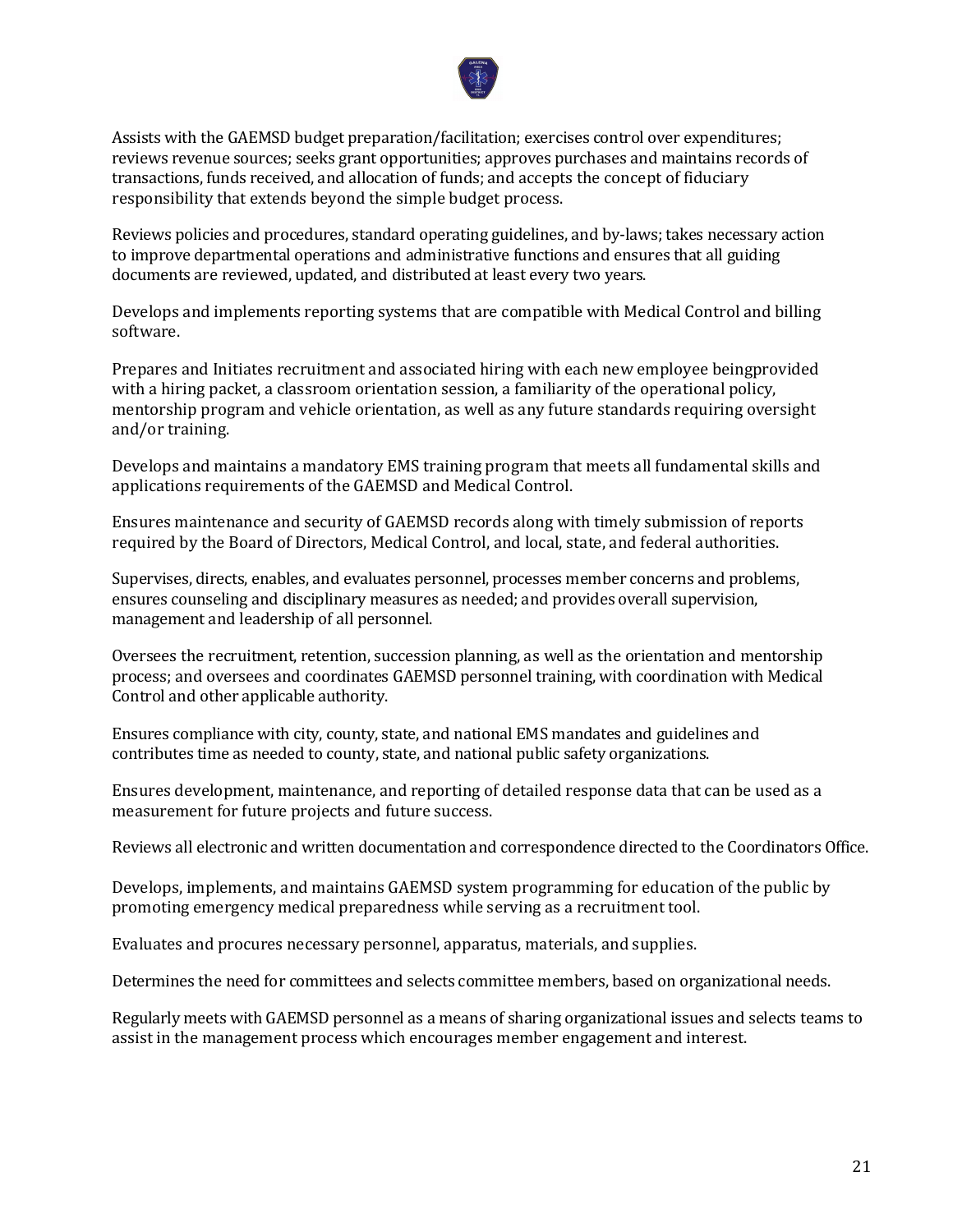

Assists with the GAEMSD budget preparation/facilitation; exercises control over expenditures; reviews revenue sources; seeks grant opportunities; approves purchases and maintains records of transactions, funds received, and allocation of funds; and accepts the concept of fiduciary responsibility that extends beyond the simple budget process.

Reviews policies and procedures, standard operating guidelines, and by-laws; takes necessary action to improve departmental operations and administrative functions and ensures that all guiding documents are reviewed, updated, and distributed at least every two years.

Develops and implements reporting systems that are compatible with Medical Control and billing software.

Prepares and Initiates recruitment and associated hiring with each new employee beingprovided with a hiring packet, a classroom orientation session, a familiarity of the operational policy, mentorship program and vehicle orientation, as well as any future standards requiring oversight and/or training.

Develops and maintains a mandatory EMS training program that meets all fundamental skills and applications requirements of the GAEMSD and Medical Control.

Ensures maintenance and security of GAEMSD records along with timely submission of reports required by the Board of Directors, Medical Control, and local, state, and federal authorities.

Supervises, directs, enables, and evaluates personnel, processes member concerns and problems, ensures counseling and disciplinary measures as needed; and provides overall supervision, management and leadership of all personnel.

Oversees the recruitment, retention, succession planning, as well as the orientation and mentorship process; and oversees and coordinates GAEMSD personnel training, with coordination with Medical Control and other applicable authority.

Ensures compliance with city, county, state, and national EMS mandates and guidelines and contributes time as needed to county, state, and national public safety organizations.

Ensures development, maintenance, and reporting of detailed response data that can be used as a measurement for future projects and future success.

Reviews all electronic and written documentation and correspondence directed to the Coordinators Office.

Develops, implements, and maintains GAEMSD system programming for education of the public by promoting emergency medical preparedness while serving as a recruitment tool.

Evaluates and procures necessary personnel, apparatus, materials, and supplies.

Determines the need for committees and selects committee members, based on organizational needs.

Regularly meets with GAEMSD personnel as a means of sharing organizational issues and selects teams to assist in the management process which encourages member engagement and interest.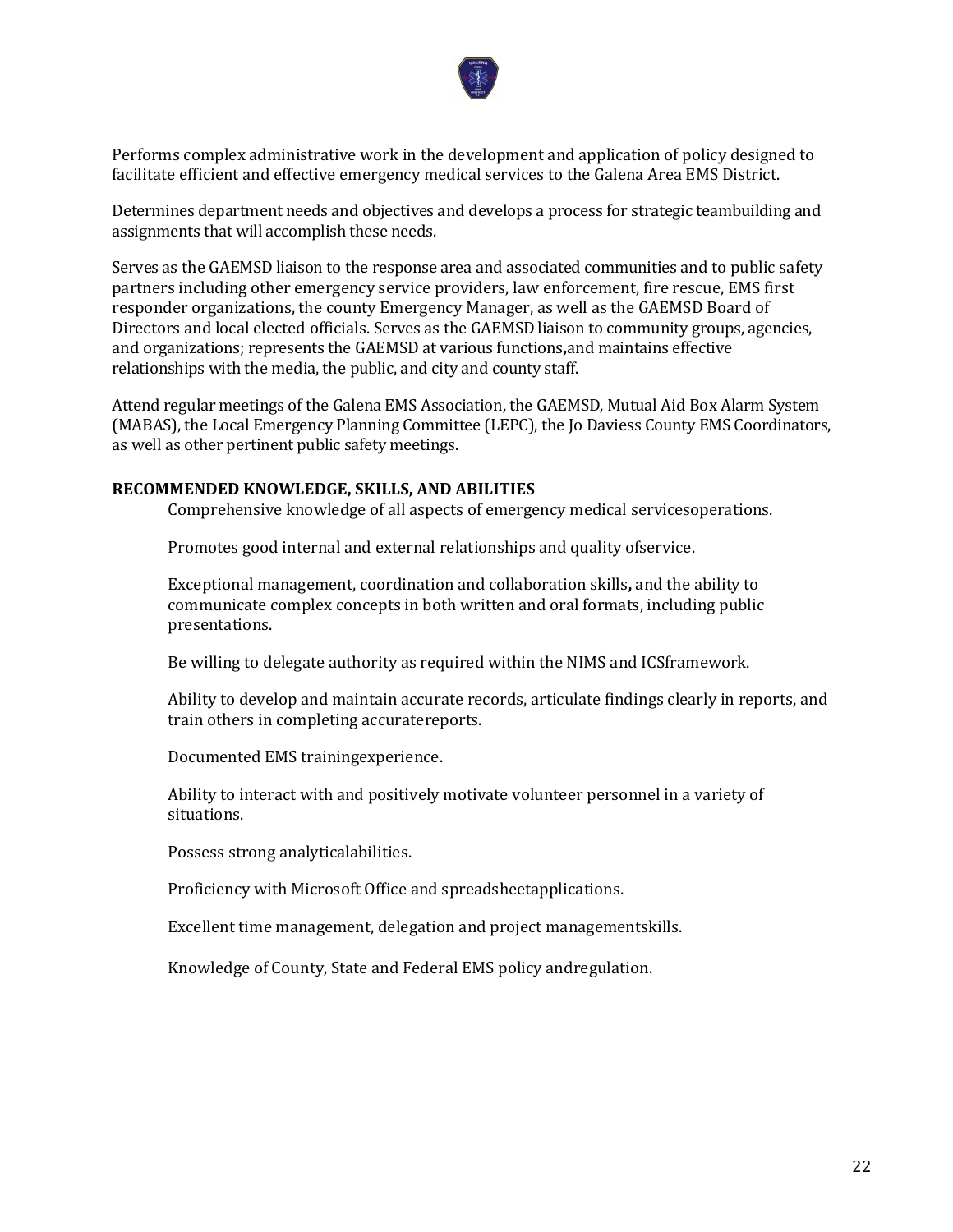

Performs complex administrative work in the development and application of policy designed to facilitate efficient and effective emergency medical services to the Galena Area EMS District.

Determines department needs and objectives and develops a process for strategic teambuilding and assignments that will accomplish these needs.

Serves as the GAEMSD liaison to the response area and associated communities and to public safety partners including other emergency service providers, law enforcement, fire rescue, EMS first responder organizations, the county Emergency Manager, as well as the GAEMSD Board of Directors and local elected officials. Serves as the GAEMSD liaison to community groups, agencies, and organizations; represents the GAEMSD at various functions**,**and maintains effective relationships with the media, the public, and city and county staff.

Attend regular meetings of the Galena EMS Association, the GAEMSD, Mutual Aid Box Alarm System (MABAS), the Local Emergency Planning Committee (LEPC), the Jo Daviess County EMS Coordinators, as well as other pertinent public safety meetings.

#### **RECOMMENDED KNOWLEDGE, SKILLS, AND ABILITIES**

Comprehensive knowledge of all aspects of emergency medical servicesoperations.

Promotes good internal and external relationships and quality ofservice.

Exceptional management, coordination and collaboration skills**,** and the ability to communicate complex concepts in both written and oral formats, including public presentations.

Be willing to delegate authority as required within the NIMS and ICSframework.

Ability to develop and maintain accurate records, articulate findings clearly in reports, and train others in completing accuratereports.

Documented EMS trainingexperience.

Ability to interact with and positively motivate volunteer personnel in a variety of situations.

Possess strong analyticalabilities.

Proficiency with Microsoft Office and spreadsheetapplications.

Excellent time management, delegation and project managementskills.

Knowledge of County, State and Federal EMS policy andregulation.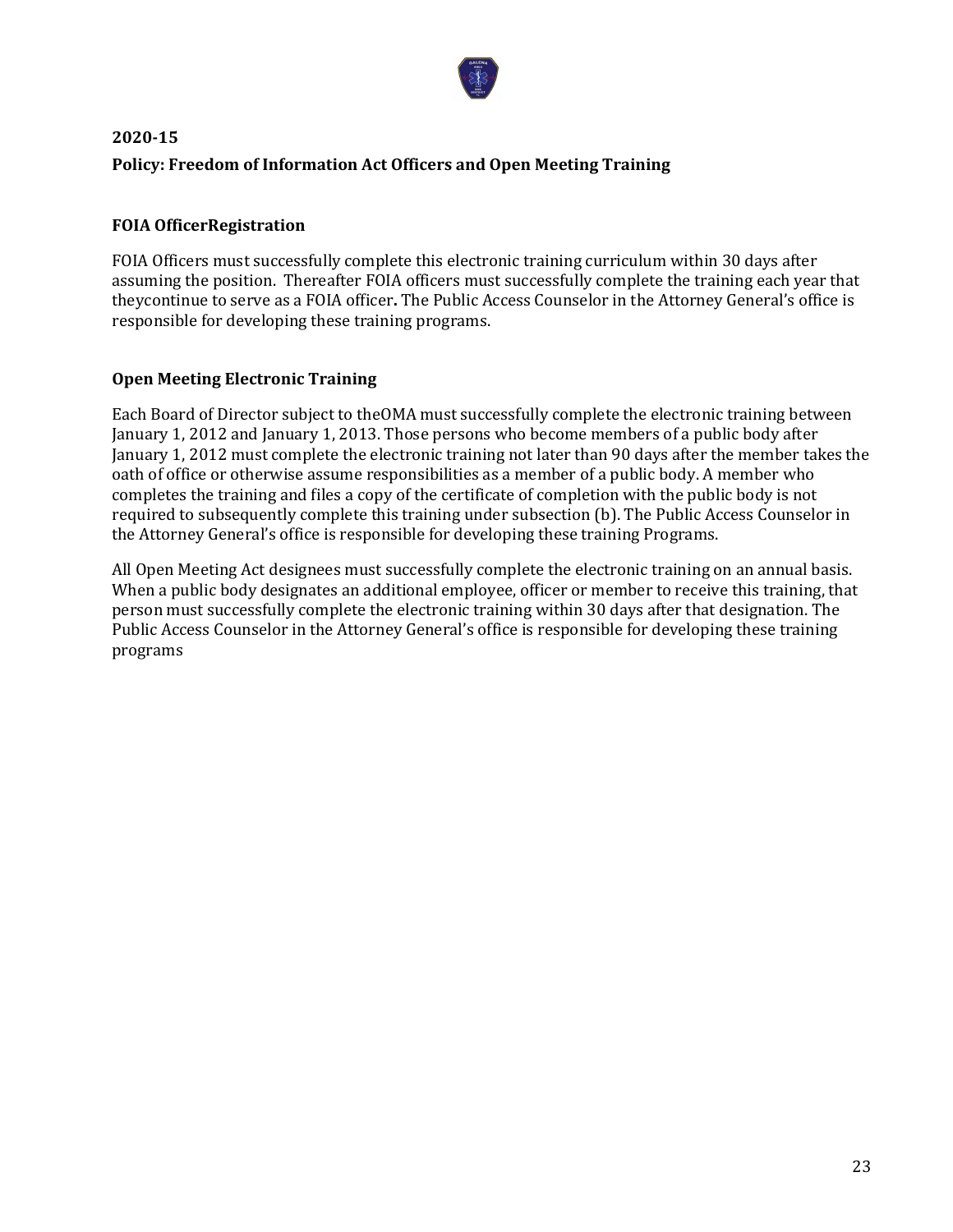

# **2020-15 Policy: Freedom of Information Act Officers and Open Meeting Training**

# **FOIA OfficerRegistration**

FOIA Officers must successfully complete this electronic training curriculum within 30 days after assuming the position. Thereafter FOIA officers must successfully complete the training each year that theycontinue to serve as a FOIA officer**.** The Public Access Counselor in the Attorney General's office is responsible for developing these training programs.

## **Open Meeting Electronic Training**

Each Board of Director subject to theOMA must successfully complete the electronic training between January 1, 2012 and January 1, 2013. Those persons who become members of a public body after January 1, 2012 must complete the electronic training not later than 90 days after the member takes the oath of office or otherwise assume responsibilities as a member of a public body. A member who completes the training and files a copy of the certificate of completion with the public body is not required to subsequently complete this training under subsection (b). The Public Access Counselor in the Attorney General's office is responsible for developing these training Programs.

All Open Meeting Act designees must successfully complete the electronic training on an annual basis. When a public body designates an additional employee, officer or member to receive this training, that person must successfully complete the electronic training within 30 days after that designation. The Public Access Counselor in the Attorney General's office is responsible for developing these training programs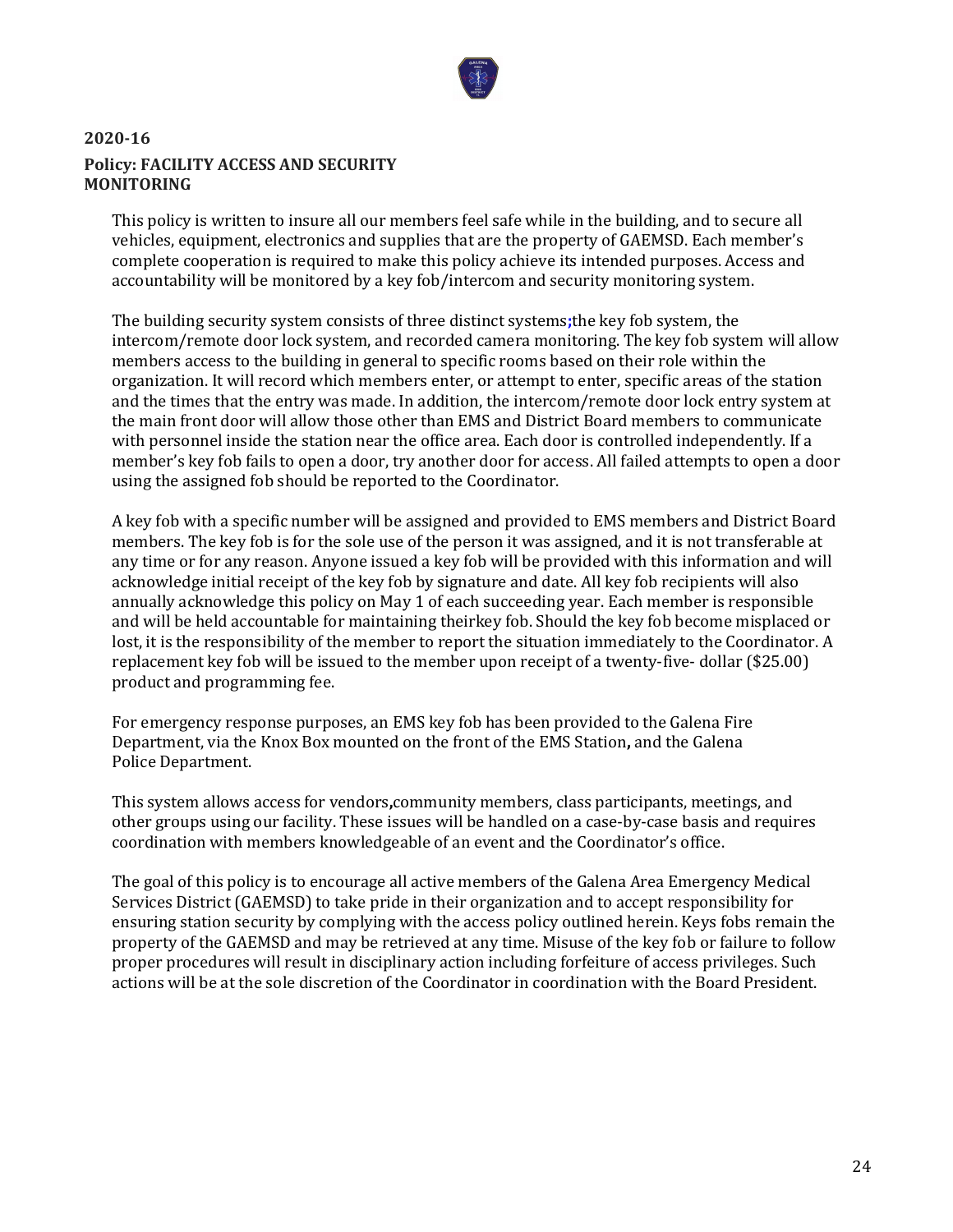

# **2020-16 Policy: FACILITY ACCESS AND SECURITY MONITORING**

This policy is written to insure all our members feel safe while in the building, and to secure all vehicles, equipment, electronics and supplies that are the property of GAEMSD. Each member's complete cooperation is required to make this policy achieve its intended purposes. Access and accountability will be monitored by a key fob/intercom and security monitoring system.

The building security system consists of three distinct systems**;**the key fob system, the intercom/remote door lock system, and recorded camera monitoring. The key fob system will allow members access to the building in general to specific rooms based on their role within the organization. It will record which members enter, or attempt to enter, specific areas of the station and the times that the entry was made. In addition, the intercom/remote door lock entry system at the main front door will allow those other than EMS and District Board members to communicate with personnel inside the station near the office area. Each door is controlled independently. If a member's key fob fails to open a door, try another door for access. All failed attempts to open a door using the assigned fob should be reported to the Coordinator.

A key fob with a specific number will be assigned and provided to EMS members and District Board members. The key fob is for the sole use of the person it was assigned, and it is not transferable at any time or for any reason. Anyone issued a key fob will be provided with this information and will acknowledge initial receipt of the key fob by signature and date. All key fob recipients will also annually acknowledge this policy on May 1 of each succeeding year. Each member is responsible and will be held accountable for maintaining theirkey fob. Should the key fob become misplaced or lost, it is the responsibility of the member to report the situation immediately to the Coordinator. A replacement key fob will be issued to the member upon receipt of a twenty-five- dollar (\$25.00) product and programming fee.

For emergency response purposes, an EMS key fob has been provided to the Galena Fire Department, via the Knox Box mounted on the front of the EMS Station**,** and the Galena Police Department.

This system allows access for vendors**,**community members, class participants, meetings, and other groups using our facility. These issues will be handled on a case-by-case basis and requires coordination with members knowledgeable of an event and the Coordinator's office.

The goal of this policy is to encourage all active members of the Galena Area Emergency Medical Services District (GAEMSD) to take pride in their organization and to accept responsibility for ensuring station security by complying with the access policy outlined herein. Keys fobs remain the property of the GAEMSD and may be retrieved at any time. Misuse of the key fob or failure to follow proper procedures will result in disciplinary action including forfeiture of access privileges. Such actions will be at the sole discretion of the Coordinator in coordination with the Board President.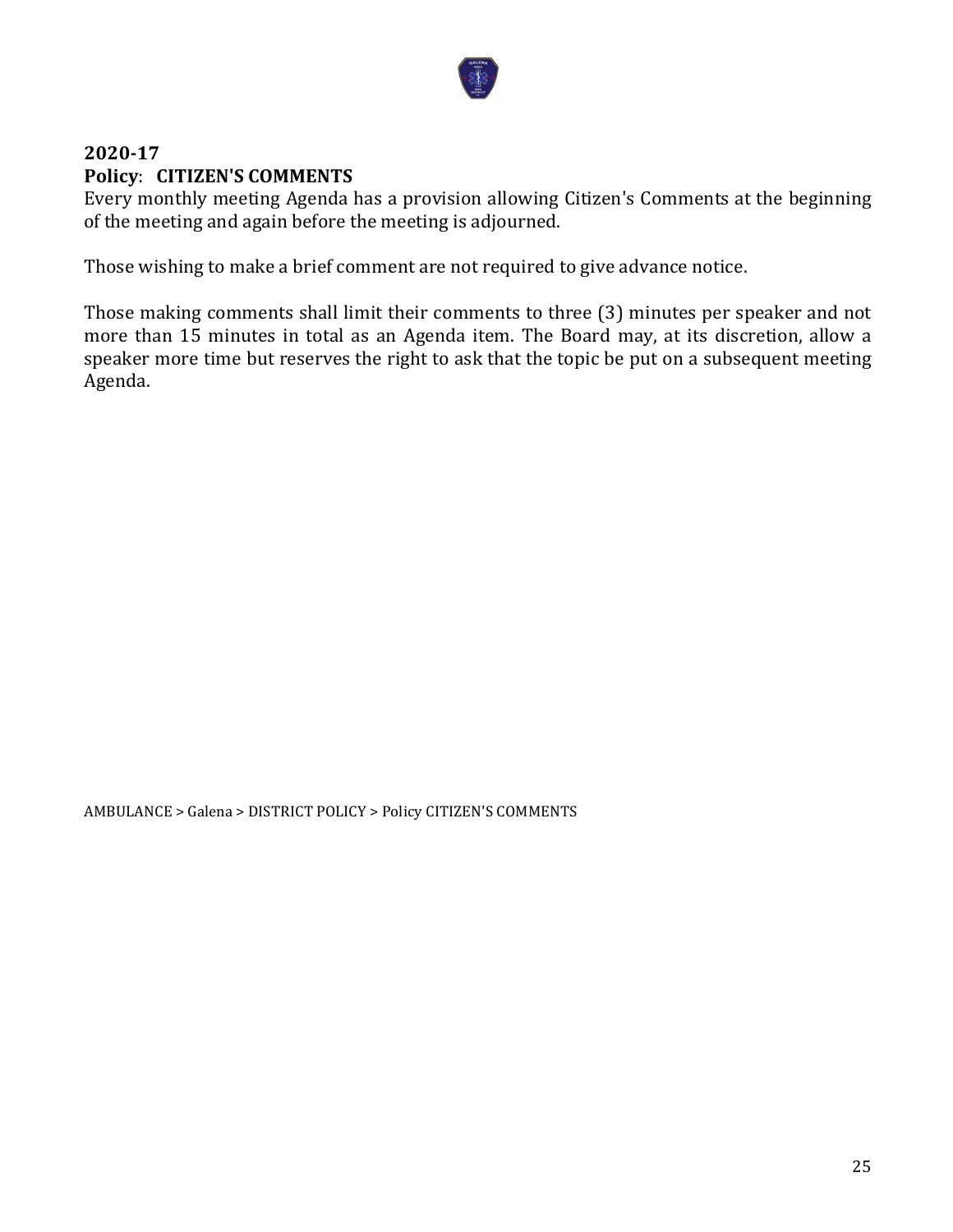

# **2020-17 Policy**: **CITIZEN'S COMMENTS**

Every monthly meeting Agenda has a provision allowing Citizen's Comments at the beginning of the meeting and again before the meeting is adjourned.

Those wishing to make a brief comment are not required to give advance notice.

Those making comments shall limit their comments to three (3) minutes per speaker and not more than 15 minutes in total as an Agenda item. The Board may, at its discretion, allow a speaker more time but reserves the right to ask that the topic be put on a subsequent meeting Agenda.

AMBULANCE > Galena > DISTRICT POLICY > Policy CITIZEN'S COMMENTS